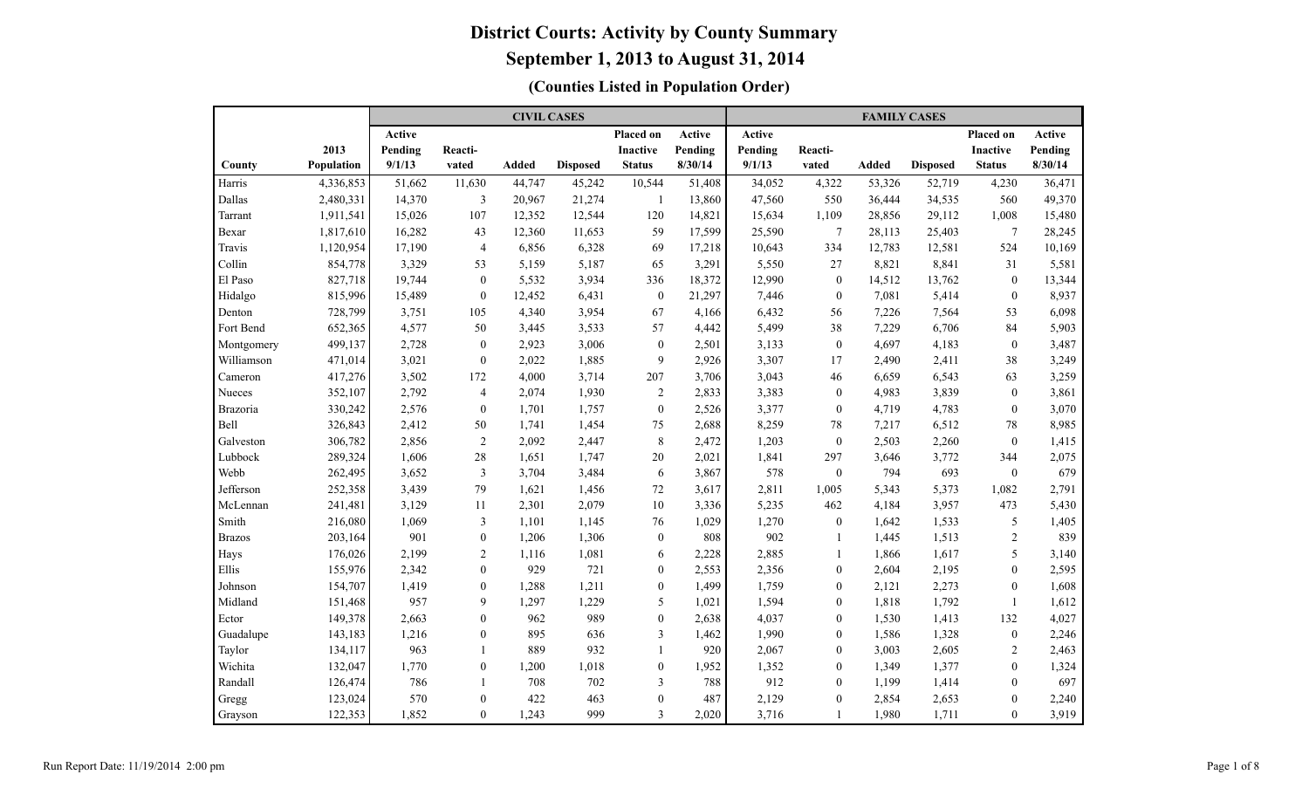|                 |            |         |                  | <b>CIVIL CASES</b> |                 |                  |         |         |                | <b>FAMILY CASES</b> |                 |                  |         |
|-----------------|------------|---------|------------------|--------------------|-----------------|------------------|---------|---------|----------------|---------------------|-----------------|------------------|---------|
|                 |            | Active  |                  |                    |                 | Placed on        | Active  | Active  |                |                     |                 | <b>Placed on</b> | Active  |
|                 | 2013       | Pending | Reacti-          |                    |                 | <b>Inactive</b>  | Pending | Pending | Reacti-        |                     |                 | <b>Inactive</b>  | Pending |
| County          | Population | 9/1/13  | vated            | <b>Added</b>       | <b>Disposed</b> | <b>Status</b>    | 8/30/14 | 9/1/13  | vated          | <b>Added</b>        | <b>Disposed</b> | <b>Status</b>    | 8/30/14 |
| Harris          | 4,336,853  | 51,662  | 11,630           | 44,747             | 45,242          | 10,544           | 51,408  | 34,052  | 4,322          | 53,326              | 52,719          | 4,230            | 36,471  |
| Dallas          | 2,480,331  | 14,370  | 3                | 20,967             | 21,274          | -1               | 13,860  | 47,560  | 550            | 36,444              | 34,535          | 560              | 49,370  |
| Tarrant         | 1,911,541  | 15,026  | 107              | 12,352             | 12,544          | 120              | 14,821  | 15,634  | 1,109          | 28,856              | 29,112          | 1,008            | 15,480  |
| Bexar           | 1,817,610  | 16,282  | 43               | 12,360             | 11,653          | 59               | 17,599  | 25,590  | $\tau$         | 28,113              | 25,403          | $\tau$           | 28,245  |
| Travis          | 1,120,954  | 17,190  | $\overline{4}$   | 6,856              | 6,328           | 69               | 17,218  | 10,643  | 334            | 12,783              | 12,581          | 524              | 10,169  |
| Collin          | 854,778    | 3,329   | 53               | 5,159              | 5,187           | 65               | 3,291   | 5,550   | 27             | 8,821               | 8,841           | 31               | 5,581   |
| El Paso         | 827,718    | 19,744  | $\mathbf{0}$     | 5,532              | 3,934           | 336              | 18,372  | 12,990  | $\theta$       | 14,512              | 13,762          | $\mathbf{0}$     | 13,344  |
| Hidalgo         | 815,996    | 15,489  | $\mathbf{0}$     | 12,452             | 6,431           | $\mathbf{0}$     | 21,297  | 7,446   | $\mathbf{0}$   | 7,081               | 5,414           | $\mathbf{0}$     | 8,937   |
| Denton          | 728,799    | 3,751   | 105              | 4,340              | 3,954           | 67               | 4,166   | 6,432   | 56             | 7,226               | 7,564           | 53               | 6,098   |
| Fort Bend       | 652,365    | 4,577   | 50               | 3,445              | 3,533           | 57               | 4,442   | 5,499   | 38             | 7,229               | 6,706           | 84               | 5,903   |
| Montgomery      | 499,137    | 2,728   | $\mathbf{0}$     | 2,923              | 3,006           | $\boldsymbol{0}$ | 2,501   | 3,133   | $\mathbf{0}$   | 4,697               | 4,183           | $\mathbf{0}$     | 3,487   |
| Williamson      | 471,014    | 3,021   | $\overline{0}$   | 2,022              | 1,885           | 9                | 2,926   | 3,307   | 17             | 2,490               | 2,411           | 38               | 3,249   |
| Cameron         | 417,276    | 3,502   | 172              | 4,000              | 3,714           | 207              | 3,706   | 3,043   | 46             | 6,659               | 6,543           | 63               | 3,259   |
| Nueces          | 352,107    | 2,792   | $\overline{4}$   | 2,074              | 1,930           | $\sqrt{2}$       | 2,833   | 3,383   | $\theta$       | 4,983               | 3,839           | $\mathbf{0}$     | 3,861   |
| <b>Brazoria</b> | 330,242    | 2,576   | $\boldsymbol{0}$ | 1,701              | 1,757           | $\boldsymbol{0}$ | 2,526   | 3,377   | $\theta$       | 4,719               | 4,783           | $\boldsymbol{0}$ | 3,070   |
| <b>Bell</b>     | 326,843    | 2,412   | 50               | 1,741              | 1,454           | 75               | 2,688   | 8,259   | 78             | 7,217               | 6,512           | 78               | 8,985   |
| Galveston       | 306,782    | 2,856   | $\overline{2}$   | 2,092              | 2,447           | $\,$ $\,$        | 2,472   | 1,203   | $\mathbf{0}$   | 2,503               | 2,260           | $\boldsymbol{0}$ | 1,415   |
| Lubbock         | 289,324    | 1,606   | 28               | 1,651              | 1,747           | 20               | 2,021   | 1,841   | 297            | 3,646               | 3,772           | 344              | 2,075   |
| Webb            | 262,495    | 3,652   | 3                | 3,704              | 3,484           | 6                | 3,867   | 578     | $\mathbf{0}$   | 794                 | 693             | $\boldsymbol{0}$ | 679     |
| Jefferson       | 252,358    | 3,439   | 79               | 1,621              | 1,456           | 72               | 3,617   | 2,811   | 1,005          | 5,343               | 5,373           | 1,082            | 2,791   |
| McLennan        | 241,481    | 3,129   | 11               | 2,301              | 2,079           | 10 <sup>1</sup>  | 3,336   | 5,235   | 462            | 4,184               | 3,957           | 473              | 5,430   |
| Smith           | 216,080    | 1,069   | 3                | 1,101              | 1,145           | 76               | 1,029   | 1,270   | $\mathbf{0}$   | 1,642               | 1,533           | 5                | 1,405   |
| <b>Brazos</b>   | 203,164    | 901     | $\overline{0}$   | 1,206              | 1,306           | $\boldsymbol{0}$ | 808     | 902     | $\overline{1}$ | 1,445               | 1,513           | 2                | 839     |
| Hays            | 176,026    | 2,199   | $\overline{2}$   | 1,116              | 1,081           | 6                | 2,228   | 2,885   | -1             | 1,866               | 1,617           | 5                | 3,140   |
| Ellis           | 155,976    | 2,342   | $\overline{0}$   | 929                | 721             | $\mathbf{0}$     | 2,553   | 2,356   | $\mathbf{0}$   | 2,604               | 2,195           | $\mathbf{0}$     | 2,595   |
| Johnson         | 154,707    | 1,419   | $\overline{0}$   | 1,288              | 1,211           | $\mathbf{0}$     | 1,499   | 1,759   | $\mathbf{0}$   | 2,121               | 2,273           | $\mathbf{0}$     | 1,608   |
| Midland         | 151,468    | 957     | 9                | 1,297              | 1,229           | 5                | 1,021   | 1,594   | $\mathbf{0}$   | 1,818               | 1,792           | $\mathbf{1}$     | 1,612   |
| Ector           | 149,378    | 2,663   | $\overline{0}$   | 962                | 989             | $\boldsymbol{0}$ | 2,638   | 4,037   | $\mathbf{0}$   | 1,530               | 1,413           | 132              | 4,027   |
| Guadalupe       | 143,183    | 1,216   | $\overline{0}$   | 895                | 636             | $\mathfrak{Z}$   | 1,462   | 1,990   | $\mathbf{0}$   | 1,586               | 1,328           | $\mathbf{0}$     | 2,246   |
| Taylor          | 134,117    | 963     | $\mathbf{1}$     | 889                | 932             | $\mathbf{1}$     | 920     | 2,067   | $\theta$       | 3,003               | 2,605           | $\sqrt{2}$       | 2,463   |
| Wichita         | 132,047    | 1,770   | $\boldsymbol{0}$ | 1,200              | 1,018           | $\boldsymbol{0}$ | 1,952   | 1,352   | $\mathbf{0}$   | 1,349               | 1,377           | $\mathbf{0}$     | 1,324   |
| Randall         | 126,474    | 786     | $\mathbf{1}$     | 708                | 702             | 3                | 788     | 912     | $\mathbf{0}$   | 1,199               | 1,414           | $\overline{0}$   | 697     |
| Gregg           | 123,024    | 570     | $\mathbf{0}$     | 422                | 463             | $\boldsymbol{0}$ | 487     | 2,129   | $\mathbf{0}$   | 2,854               | 2,653           | $\mathbf{0}$     | 2,240   |
| Grayson         | 122,353    | 1,852   | $\overline{0}$   | 1,243              | 999             | $\overline{3}$   | 2,020   | 3,716   | $\mathbf{1}$   | 1,980               | 1,711           | $\mathbf{0}$     | 3,919   |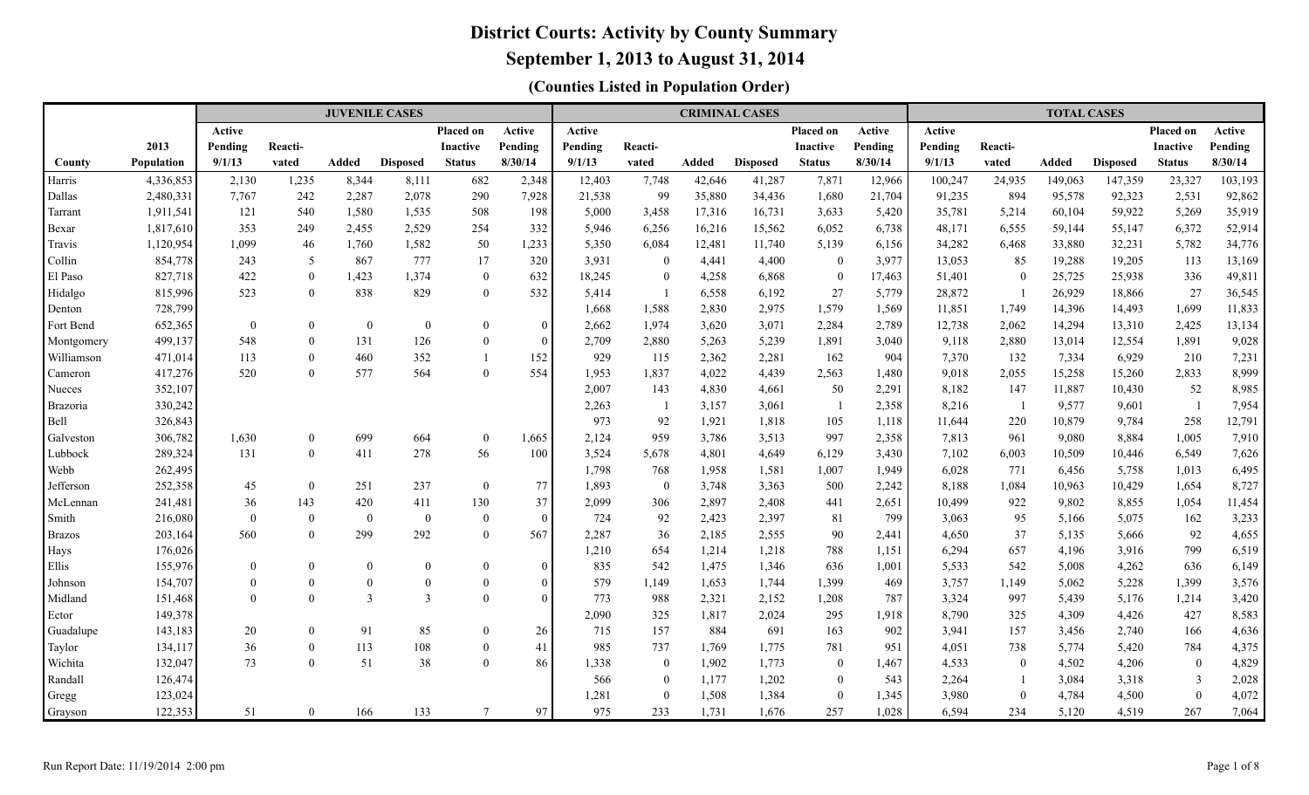### **September 1, 2013 to August 31, 2014**

|                 |                    |                 |                                | <b>JUVENILE CASES</b> |                  |                                  |                 |              |                |                | <b>CRIMINAL CASES</b> |                |              |                |                          | <b>TOTAL CASES</b> |                 |                          |                |
|-----------------|--------------------|-----------------|--------------------------------|-----------------------|------------------|----------------------------------|-----------------|--------------|----------------|----------------|-----------------------|----------------|--------------|----------------|--------------------------|--------------------|-----------------|--------------------------|----------------|
|                 |                    | Active          |                                |                       |                  | <b>Placed on</b>                 | Active          | Active       |                |                |                       | Placed on      | Active       | Active         |                          |                    |                 | Placed on                | Active         |
|                 | 2013               | Pending         | Reacti-                        |                       |                  | <b>Inactive</b>                  | Pending         | Pending      | Reacti-        |                |                       | Inactive       | Pending      | Pending        | Reacti-                  |                    |                 | <b>Inactive</b>          | Pending        |
| County          | <b>Population</b>  | 9/1/13          | vated                          | <b>Added</b>          | <b>Disposed</b>  | <b>Status</b>                    | 8/30/14         | 9/1/13       | vated          | Added          | <b>Disposed</b>       | <b>Status</b>  | 8/30/14      | 9/1/13         | vated                    | <b>Added</b>       | <b>Disposed</b> | <b>Status</b>            | 8/30/14        |
| Harris          | 4,336,853          | 2,130           | 1,235                          | 8,344                 | 8,111            | 682                              | 2,348           | 12,403       | 7,748          | 42,646         | 41,287                | 7,871          | 12,966       | 100,247        | 24,935                   | 149,063            | 147,359         | 23,327                   | 103,193        |
| Dallas          | 2,480,331          | 7,767           | 242                            | 2,287                 | 2,078            | 290                              | 7,928           | 21,538       | 99             | 35,880         | 34,436                | 1,680          | 21,704       | 91,235         | 894                      | 95,578             | 92,323          | 2,531                    | 92,862         |
| Tarrant         | 1,911,541          | 121             | 540                            | 1,580                 | 1,535            | 508                              | 198             | 5,000        | 3,458          | 17,316         | 16,731                | 3,633          | 5,420        | 35,781         | 5,214                    | 60,104             | 59,922          | 5,269                    | 35,919         |
| Bexar           | 1,817,610          | 353             | 249                            | 2,455                 | 2,529            | 254                              | 332             | 5,946        | 6,256          | 16,216         | 15,562                | 6,052          | 6,738        | 48,171         | 6,555                    | 59,144             | 55,147          | 6,372                    | 52,914         |
| Travis          | 1,120,954          | 1,099           | 46                             | 1,760                 | 1,582            | 50                               | 1,233           | 5,350        | 6,084          | 12,481         | 11,740                | 5,139          | 6,156        | 34,282         | 6,468                    | 33,880             | 32,231          | 5,782                    | 34,776         |
| Collin          | 854,778            | 243             | 5                              | 867                   | 777              | 17                               | 320             | 3,931        | $\overline{0}$ | 4,441          | 4,400                 | $\mathbf{0}$   | 3,977        | 13,053         | 85                       | 19,288             | 19,205          | 113                      | 13,169         |
| El Paso         | 827,718            | 422             | $\overline{0}$                 | 1,423                 | 1,374            | $\overline{0}$                   | 632             | 18,245       | $\bf{0}$       | 4,258          | 6,868                 | $\theta$       | 17,463       | 51,401         | $\overline{0}$           | 25,725             | 25,938          | 336                      | 49,811         |
| Hidalgo         | 815,996            | 523             | $\theta$                       | 838                   | 829              | $\overline{0}$                   | 532             | 5,414        | -1             | 6,558          | 6,192                 | 27             | 5,779        | 28,872         |                          | 26,929             | 18,866          | 27                       | 36,545         |
| Denton          | 728,799            |                 |                                |                       |                  |                                  |                 | 1,668        | 1,588          | 2,830          | 2,975                 | 1,579          | 1,569        | 11,851         | 1,749                    | 14,396             | 14,493          | 1,699                    | 11,833         |
| Fort Bend       | 652,365            | $\mathbf{0}$    | $\boldsymbol{0}$               | $\mathbf{0}$          | $\boldsymbol{0}$ | $\overline{0}$                   | $\mathbf{0}$    | 2,662        | 1,974          | 3,620          | 3,071                 | 2,284          | 2,789        | 12,738         | 2,062                    | 14,294             | 13,310          | 2,425                    | 13,134         |
| Montgomery      | 499,137            | 548             | $\mathbf{0}$                   | 131                   | 126              | $\overline{0}$                   | $\overline{0}$  | 2,709        | 2,880          | 5,263          | 5,239                 | 1,891          | 3,040        | 9,118          | 2,880                    | 13,014             | 12,554          | 1,891                    | 9,028          |
| Williamson      | 471,014            | 113             | $\overline{0}$                 | 460                   | 352              | $\mathbf{1}$                     | 152             | 929          | 115            | 2,362          | 2,281                 | 162            | 904          | 7,370          | 132                      | 7,334              | 6,929           | 210                      | 7,231          |
| Cameron         | 417,276            | 520             | $\theta$                       | 577                   | 564              | $\overline{0}$                   | 554             | 1,953        | 1,837          | 4,022          | 4,439                 | 2,563          | 1,480        | 9,018          | 2,055                    | 15,258             | 15,260          | 2,833                    | 8,999          |
| Nueces          | 352,107            |                 |                                |                       |                  |                                  |                 | 2,007        | 143            | 4,830          | 4,661                 | 50             | 2,291        | 8,182          | 147                      | 11,887             | 10,430          | 52                       | 8,985          |
| <b>Brazoria</b> | 330,242            |                 |                                |                       |                  |                                  |                 | 2,263        | $\overline{1}$ | 3,157          | 3,061                 | $\overline{1}$ | 2,358        | 8,216          | $\overline{\phantom{0}}$ | 9,577              | 9,601           | $\overline{\phantom{0}}$ | 7,954          |
| Bell            | 326,843            |                 |                                |                       |                  |                                  |                 | 973          | 92             | 1,921          | 1,818                 | 105            | 1,118        | 11,644         | 220                      | 10,879             | 9,784           | 258                      | 12,791         |
| Galveston       | 306,782            | 1,630           | $\overline{0}$                 | 699                   | 664              | $\overline{0}$                   | 1,665           | 2,124        | 959            | 3,786          | 3,513                 | 997            | 2,358        | 7,813          | 961                      | 9,080              | 8,884           | 1,005                    | 7,910          |
| Lubbock         | 289,324            | 131             | $\overline{0}$                 | 411                   | 278              | 56                               | 100             | 3,524        | 5,678          | 4,801          | 4,649                 | 6,129          | 3,430        | 7,102          | 6,003                    | 10,509             | 10,446          | 6,549                    | 7,626          |
| Webb            | 262,495            |                 |                                |                       |                  |                                  |                 | 1,798        | 768            | 1,958          | 1,581                 | 1,007          | 1,949        | 6,028          | 771                      | 6,456              | 5,758           | 1,013                    | 6,495          |
| Jefferson       | 252,358            | 45              | $\overline{0}$                 | 251                   | 237              | $\overline{0}$                   | 77              | 1,893        | $\bf{0}$       | 3,748          | 3,363                 | 500            | 2,242        | 8,188          | 1,084                    | 10,963             | 10,429          | 1,654                    | 8,727          |
| McLennan        | 241,481            | 36              | 143                            | 420                   | 411              | 130                              | 37              | 2,099        | 306            | 2,897          | 2,408                 | 441            | 2,651        | 10,499         | 922                      | 9,802              | 8,855           | 1,054                    | 11,454         |
| Smith           | 216,080<br>203,164 | $\theta$<br>560 | $\overline{0}$<br>$\mathbf{0}$ | $\theta$<br>299       | $\bf{0}$<br>292  | $\overline{0}$<br>$\overline{0}$ | $\theta$<br>567 | 724<br>2,287 | 92<br>36       | 2,423          | 2,397                 | 81<br>90       | 799<br>2,441 | 3,063<br>4,650 | 95                       | 5,166              | 5,075           | 162                      | 3,233<br>4,655 |
| <b>Brazos</b>   | 176,026            |                 |                                |                       |                  |                                  |                 | 1,210        | 654            | 2,185<br>1,214 | 2,555<br>1,218        | 788            | 1,151        | 6,294          | 37<br>657                | 5,135<br>4,196     | 5,666<br>3,916  | 92<br>799                | 6,519          |
| Hays<br>Ellis   | 155,976            | $\mathbf{0}$    | $\overline{0}$                 | $\mathbf{0}$          | $\mathbf{0}$     | $\overline{0}$                   | $\mathbf{0}$    | 835          | 542            | 1,475          | 1,346                 | 636            | 1,001        | 5,533          | 542                      | 5,008              | 4,262           | 636                      | 6,149          |
| Johnson         | 154,707            | $\Omega$        | $\boldsymbol{0}$               | $\boldsymbol{0}$      | $\bf{0}$         | $\overline{0}$                   | $\theta$        | 579          | 1,149          | 1,653          | 1,744                 | 1,399          | 469          | 3,757          | 1,149                    | 5,062              | 5,228           | 1,399                    | 3,576          |
| Midland         | 151,468            | $\Omega$        | $\Omega$                       | $\overline{3}$        | $\overline{3}$   | $\mathbf{0}$                     | $\Omega$        | 773          | 988            | 2,321          | 2,152                 | 1,208          | 787          | 3,324          | 997                      | 5,439              | 5,176           | 1,214                    | 3,420          |
| Ector           | 149,378            |                 |                                |                       |                  |                                  |                 | 2,090        | 325            | 1,817          | 2,024                 | 295            | 1,918        | 8,790          | 325                      | 4,309              | 4,426           | 427                      | 8,583          |
| Guadalupe       | 143,183            | 20              | $\mathbf{0}$                   | 91                    | 85               | $\overline{0}$                   | 26              | 715          | 157            | 884            | 691                   | 163            | 902          | 3,941          | 157                      | 3,456              | 2,740           | 166                      | 4,636          |
| Taylor          | 134,117            | 36              | $\overline{0}$                 | 113                   | 108              | $\overline{0}$                   | 41              | 985          | 737            | 1,769          | 1,775                 | 781            | 951          | 4,051          | 738                      | 5,774              | 5,420           | 784                      | 4,375          |
| Wichita         | 132,047            | 73              | $\overline{0}$                 | 51                    | 38               | $\theta$                         | 86              | 1,338        | $\bf{0}$       | 1,902          | 1,773                 | $\mathbf{0}$   | 1,467        | 4,533          | $\overline{0}$           | 4,502              | 4,206           | $\overline{0}$           | 4,829          |
| Randall         | 126,474            |                 |                                |                       |                  |                                  |                 | 566          | $\overline{0}$ | 1,177          | 1,202                 | $\overline{0}$ | 543          | 2,264          |                          | 3,084              | 3,318           | 3                        | 2,028          |
| Gregg           | 123,024            |                 |                                |                       |                  |                                  |                 | 1,281        | $\mathbf{0}$   | 1,508          | 1,384                 | $\theta$       | 1,345        | 3,980          | $\theta$                 | 4,784              | 4,500           | $\overline{0}$           | 4,072          |
| Grayson         | 122,353            | 51              | $\theta$                       | 166                   | 133              | $\overline{7}$                   | 97              | 975          | 233            | 1,731          | 1,676                 | 257            | 1,028        | 6,594          | 234                      | 5,120              | 4,519           | 267                      | 7,064          |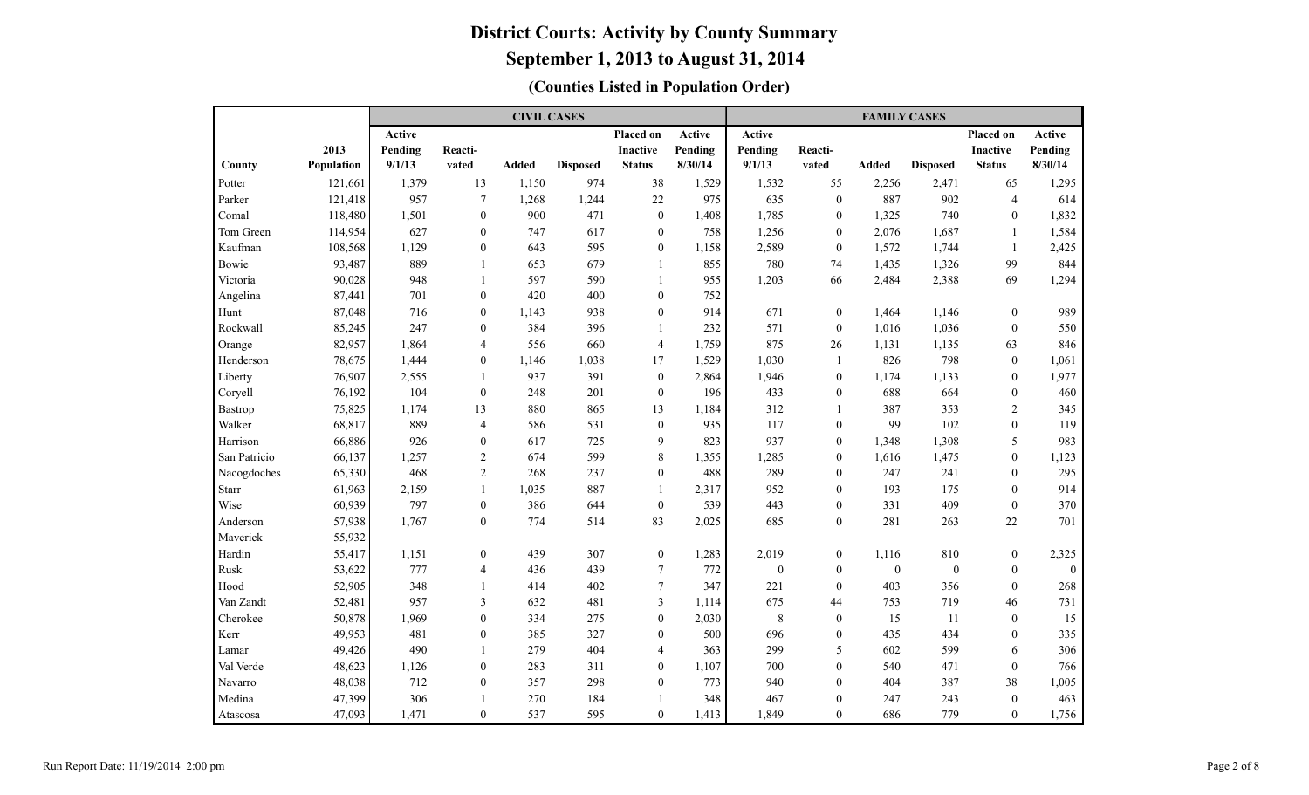|              |            |               |                  | <b>CIVIL CASES</b> |                 |                  |         |              |                  | <b>FAMILY CASES</b> |                  |                  |              |
|--------------|------------|---------------|------------------|--------------------|-----------------|------------------|---------|--------------|------------------|---------------------|------------------|------------------|--------------|
|              |            | <b>Active</b> |                  |                    |                 | <b>Placed on</b> | Active  | Active       |                  |                     |                  | <b>Placed on</b> | Active       |
|              | 2013       | Pending       | Reacti-          |                    |                 | <b>Inactive</b>  | Pending | Pending      | Reacti-          |                     |                  | <b>Inactive</b>  | Pending      |
| County       | Population | 9/1/13        | vated            | <b>Added</b>       | <b>Disposed</b> | <b>Status</b>    | 8/30/14 | 9/1/13       | vated            | <b>Added</b>        | <b>Disposed</b>  | <b>Status</b>    | 8/30/14      |
| Potter       | 121,661    | 1,379         | 13               | 1,150              | 974             | 38               | 1,529   | 1,532        | 55               | 2,256               | 2,471            | 65               | 1,295        |
| Parker       | 121,418    | 957           | $\tau$           | 1,268              | 1,244           | 22               | 975     | 635          | $\boldsymbol{0}$ | 887                 | 902              | $\overline{4}$   | 614          |
| Comal        | 118,480    | 1,501         | $\mathbf{0}$     | 900                | 471             | $\boldsymbol{0}$ | 1,408   | 1,785        | $\mathbf{0}$     | 1,325               | 740              | $\mathbf{0}$     | 1,832        |
| Tom Green    | 114,954    | 627           | $\mathbf{0}$     | 747                | 617             | $\boldsymbol{0}$ | 758     | 1,256        | $\mathbf{0}$     | 2,076               | 1,687            | 1                | 1,584        |
| Kaufman      | 108,568    | 1,129         | $\overline{0}$   | 643                | 595             | $\boldsymbol{0}$ | 1,158   | 2,589        | $\mathbf{0}$     | 1,572               | 1,744            | 1                | 2,425        |
| Bowie        | 93,487     | 889           | 1                | 653                | 679             | $\mathbf{1}$     | 855     | 780          | 74               | 1,435               | 1,326            | 99               | 844          |
| Victoria     | 90,028     | 948           | $\mathbf{1}$     | 597                | 590             | $\mathbf{1}$     | 955     | 1,203        | 66               | 2,484               | 2,388            | 69               | 1,294        |
| Angelina     | 87,441     | 701           | $\theta$         | 420                | 400             | $\boldsymbol{0}$ | 752     |              |                  |                     |                  |                  |              |
| Hunt         | 87,048     | 716           | $\overline{0}$   | 1,143              | 938             | $\boldsymbol{0}$ | 914     | 671          | $\mathbf{0}$     | 1,464               | 1,146            | $\mathbf{0}$     | 989          |
| Rockwall     | 85,245     | 247           | $\boldsymbol{0}$ | 384                | 396             | $\mathbf{1}$     | 232     | 571          | $\boldsymbol{0}$ | 1,016               | 1,036            | $\boldsymbol{0}$ | 550          |
| Orange       | 82,957     | 1,864         | 4                | 556                | 660             | $\overline{4}$   | 1,759   | 875          | 26               | 1,131               | 1,135            | 63               | 846          |
| Henderson    | 78,675     | 1,444         | $\mathbf{0}$     | 1,146              | 1,038           | 17               | 1,529   | 1,030        | -1               | 826                 | 798              | $\boldsymbol{0}$ | 1,061        |
| Liberty      | 76,907     | 2,555         | $\mathbf{1}$     | 937                | 391             | $\boldsymbol{0}$ | 2,864   | 1,946        | $\boldsymbol{0}$ | 1,174               | 1,133            | $\boldsymbol{0}$ | 1,977        |
| Coryell      | 76,192     | 104           | $\boldsymbol{0}$ | 248                | 201             | $\boldsymbol{0}$ | 196     | 433          | $\boldsymbol{0}$ | 688                 | 664              | $\boldsymbol{0}$ | 460          |
| Bastrop      | 75,825     | 1,174         | 13               | 880                | 865             | 13               | 1,184   | 312          | $\overline{1}$   | 387                 | 353              | $\overline{2}$   | 345          |
| Walker       | 68,817     | 889           | $\overline{4}$   | 586                | 531             | $\boldsymbol{0}$ | 935     | 117          | $\mathbf{0}$     | 99                  | 102              | $\mathbf{0}$     | 119          |
| Harrison     | 66,886     | 926           | $\overline{0}$   | 617                | 725             | 9                | 823     | 937          | $\mathbf{0}$     | 1,348               | 1,308            | 5                | 983          |
| San Patricio | 66,137     | 1,257         | $\overline{2}$   | 674                | 599             | 8                | 1,355   | 1,285        | $\mathbf{0}$     | 1,616               | 1,475            | $\mathbf{0}$     | 1,123        |
| Nacogdoches  | 65,330     | 468           | $\overline{2}$   | 268                | 237             | $\boldsymbol{0}$ | 488     | 289          | $\mathbf{0}$     | 247                 | 241              | $\mathbf{0}$     | 295          |
| <b>Starr</b> | 61,963     | 2,159         | $\mathbf{1}$     | 1,035              | 887             | $\mathbf{1}$     | 2,317   | 952          | $\mathbf{0}$     | 193                 | 175              | $\theta$         | 914          |
| Wise         | 60,939     | 797           | $\overline{0}$   | 386                | 644             | $\mathbf{0}$     | 539     | 443          | $\boldsymbol{0}$ | 331                 | 409              | $\mathbf{0}$     | 370          |
| Anderson     | 57,938     | 1,767         | $\mathbf{0}$     | 774                | 514             | 83               | 2,025   | 685          | $\boldsymbol{0}$ | 281                 | 263              | $22\,$           | 701          |
| Maverick     | 55,932     |               |                  |                    |                 |                  |         |              |                  |                     |                  |                  |              |
| Hardin       | 55,417     | 1,151         | $\boldsymbol{0}$ | 439                | 307             | $\boldsymbol{0}$ | 1,283   | 2,019        | $\boldsymbol{0}$ | 1,116               | 810              | $\boldsymbol{0}$ | 2,325        |
| Rusk         | 53,622     | 777           | $\overline{4}$   | 436                | 439             | 7                | 772     | $\mathbf{0}$ | $\mathbf{0}$     | $\boldsymbol{0}$    | $\boldsymbol{0}$ | $\mathbf{0}$     | $\mathbf{0}$ |
| Hood         | 52,905     | 348           | -1               | 414                | 402             | 7                | 347     | 221          | $\mathbf{0}$     | 403                 | 356              | $\mathbf{0}$     | 268          |
| Van Zandt    | 52,481     | 957           | 3                | 632                | 481             | 3                | 1,114   | 675          | 44               | 753                 | 719              | 46               | 731          |
| Cherokee     | 50,878     | 1,969         | $\overline{0}$   | 334                | 275             | $\boldsymbol{0}$ | 2,030   | $\,8\,$      | $\mathbf{0}$     | 15                  | 11               | $\boldsymbol{0}$ | 15           |
| Kerr         | 49,953     | 481           | $\overline{0}$   | 385                | 327             | $\boldsymbol{0}$ | 500     | 696          | $\boldsymbol{0}$ | 435                 | 434              | $\boldsymbol{0}$ | 335          |
| Lamar        | 49,426     | 490           | $\mathbf{1}$     | 279                | 404             | $\overline{4}$   | 363     | 299          | 5                | 602                 | 599              | 6                | 306          |
| Val Verde    | 48,623     | 1,126         | $\theta$         | 283                | 311             | $\mathbf{0}$     | 1,107   | 700          | $\theta$         | 540                 | 471              | $\mathbf{0}$     | 766          |
| Navarro      | 48,038     | 712           | $\theta$         | 357                | 298             | $\boldsymbol{0}$ | 773     | 940          | $\theta$         | 404                 | 387              | 38               | 1,005        |
| Medina       | 47,399     | 306           | $\mathbf{1}$     | 270                | 184             | $\mathbf{1}$     | 348     | 467          | $\boldsymbol{0}$ | 247                 | 243              | $\boldsymbol{0}$ | 463          |
| Atascosa     | 47,093     | 1,471         | $\overline{0}$   | 537                | 595             | $\boldsymbol{0}$ | 1,413   | 1,849        | $\mathbf{0}$     | 686                 | 779              | $\boldsymbol{0}$ | 1,756        |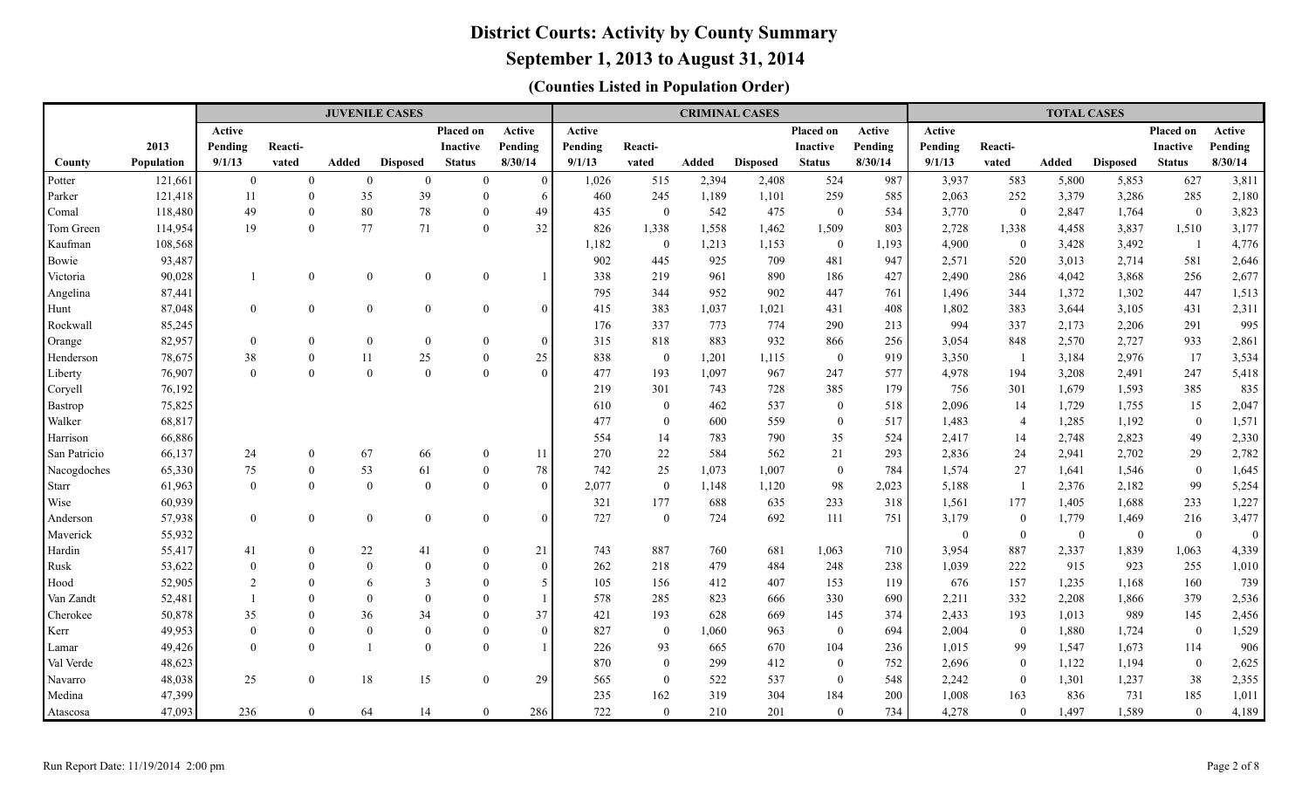### **September 1, 2013 to August 31, 2014**

|              |            |                |                  | <b>JUVENILE CASES</b> |                         |                 |          |         |                |       | <b>CRIMINAL CASES</b> |                  |         |              |                | <b>TOTAL CASES</b> |                 |                          |          |
|--------------|------------|----------------|------------------|-----------------------|-------------------------|-----------------|----------|---------|----------------|-------|-----------------------|------------------|---------|--------------|----------------|--------------------|-----------------|--------------------------|----------|
|              |            | Active         |                  |                       |                         | Placed on       | Active   | Active  |                |       |                       | Placed on        | Active  | Active       |                |                    |                 | Placed on                | Active   |
|              | 2013       | Pending        | Reacti-          |                       |                         | <b>Inactive</b> | Pending  | Pending | Reacti-        |       |                       | Inactive         | Pending | Pending      | Reacti-        |                    |                 | <b>Inactive</b>          | Pending  |
| County       | Population | 9/1/13         | vated            | <b>Added</b>          | <b>Disposed</b>         | <b>Status</b>   | 8/30/14  | 9/1/13  | vated          | Added | <b>Disposed</b>       | <b>Status</b>    | 8/30/14 | 9/1/13       | vated          | Added              | <b>Disposed</b> | <b>Status</b>            | 8/30/14  |
| Potter       | 121,661    | $\overline{0}$ | $\mathbf{0}$     | $\overline{0}$        | $\overline{0}$          | $\overline{0}$  | $\Omega$ | 1,026   | 515            | 2,394 | 2,408                 | 524              | 987     | 3,937        | 583            | 5,800              | 5,853           | 627                      | 3,811    |
| Parker       | 121,418    | 11             | $\mathbf{0}$     | 35                    | 39                      | $\theta$        | 6        | 460     | 245            | 1,189 | 1,101                 | 259              | 585     | 2,063        | 252            | 3,379              | 3,286           | 285                      | 2,180    |
| Comal        | 118,480    | 49             | $\mathbf{0}$     | 80                    | 78                      | $\Omega$        | 49       | 435     | $\overline{0}$ | 542   | 475                   | $\overline{0}$   | 534     | 3,770        | $\mathbf{0}$   | 2,847              | 1,764           | $\overline{0}$           | 3,823    |
| Tom Green    | 114,954    | 19             | $\mathbf{0}$     | 77                    | 71                      | $\Omega$        | 32       | 826     | 1,338          | 1,558 | 1,462                 | 1,509            | 803     | 2,728        | 1,338          | 4,458              | 3,837           | 1,510                    | 3,177    |
| Kaufman      | 108,568    |                |                  |                       |                         |                 |          | 1,182   | $\overline{0}$ | 1,213 | 1,153                 | $\overline{0}$   | 1,193   | 4,900        | $\overline{0}$ | 3,428              | 3,492           | $\overline{\phantom{0}}$ | 4,776    |
| Bowie        | 93,487     |                |                  |                       |                         |                 |          | 902     | 445            | 925   | 709                   | 481              | 947     | 2,571        | 520            | 3,013              | 2,714           | 581                      | 2,646    |
| Victoria     | 90,028     | $\mathbf{1}$   | $\boldsymbol{0}$ | $\mathbf{0}$          | $\Omega$                | $\overline{0}$  |          | 338     | 219            | 961   | 890                   | 186              | 427     | 2,490        | 286            | 4,042              | 3,868           | 256                      | 2,677    |
| Angelina     | 87,441     |                |                  |                       |                         |                 |          | 795     | 344            | 952   | 902                   | 447              | 761     | 1,496        | 344            | 1,372              | 1,302           | 447                      | 1,513    |
| Hunt         | 87,048     | $\overline{0}$ | $\boldsymbol{0}$ | $\mathbf{0}$          | $\overline{0}$          | $\overline{0}$  |          | 415     | 383            | 1,037 | 1,021                 | 431              | 408     | 1,802        | 383            | 3,644              | 3,105           | 431                      | 2,311    |
| Rockwall     | 85,245     |                |                  |                       |                         |                 |          | 176     | 337            | 773   | 774                   | 290              | 213     | 994          | 337            | 2,173              | 2,206           | 291                      | 995      |
| Orange       | 82,957     | $\overline{0}$ | $\mathbf{0}$     | $\mathbf{0}$          | $\overline{0}$          | $\theta$        | $\Omega$ | 315     | 818            | 883   | 932                   | 866              | 256     | 3,054        | 848            | 2,570              | 2,727           | 933                      | 2,861    |
| Henderson    | 78,675     | 38             | $\mathbf{0}$     | 11                    | 25                      | $\theta$        | 25       | 838     | $\mathbf{0}$   | 1,201 | 1,115                 | $\mathbf{0}$     | 919     | 3,350        | - 1            | 3,184              | 2,976           | 17                       | 3,534    |
| Liberty      | 76,907     | $\Omega$       | $\mathbf{0}$     | $\mathbf{0}$          | $\theta$                | $\Omega$        | $\Omega$ | 477     | 193            | 1,097 | 967                   | 247              | 577     | 4,978        | 194            | 3,208              | 2,491           | 247                      | 5,418    |
| Coryell      | 76,192     |                |                  |                       |                         |                 |          | 219     | 301            | 743   | 728                   | 385              | 179     | 756          | 301            | 1,679              | 1,593           | 385                      | 835      |
| Bastrop      | 75,825     |                |                  |                       |                         |                 |          | 610     | $\overline{0}$ | 462   | 537                   | $\overline{0}$   | 518     | 2,096        | 14             | 1,729              | 1,755           | 15                       | 2,047    |
| Walker       | 68,817     |                |                  |                       |                         |                 |          | 477     | $\theta$       | 600   | 559                   | $\boldsymbol{0}$ | 517     | 1,483        | $\overline{4}$ | 1,285              | 1,192           | $\mathbf{0}$             | 1,571    |
| Harrison     | 66,886     |                |                  |                       |                         |                 |          | 554     | 14             | 783   | 790                   | 35               | 524     | 2,417        | 14             | 2,748              | 2,823           | 49                       | 2,330    |
| San Patricio | 66,137     | 24             | $\mathbf{0}$     | 67                    | 66                      | $\theta$        | 11       | 270     | $22\,$         | 584   | 562                   | 21               | 293     | 2,836        | 24             | 2,941              | 2,702           | 29                       | 2,782    |
| Nacogdoches  | 65,330     | 75             | $\mathbf{0}$     | 53                    | 61                      | $\Omega$        | 78       | 742     | 25             | 1,073 | 1,007                 | $\overline{0}$   | 784     | 1,574        | 27             | 1,641              | 1,546           | $\overline{0}$           | 1,645    |
| Starr        | 61,963     | $\Omega$       | $\mathbf{0}$     | $\mathbf{0}$          | $\overline{0}$          | $\Omega$        | $\Omega$ | 2,077   | $\overline{0}$ | 1,148 | 1,120                 | 98               | 2,023   | 5,188        | $\overline{1}$ | 2,376              | 2,182           | 99                       | 5,254    |
| Wise         | 60,939     |                |                  |                       |                         |                 |          | 321     | 177            | 688   | 635                   | 233              | 318     | 1,561        | 177            | 1,405              | 1,688           | 233                      | 1,227    |
| Anderson     | 57,938     | $\theta$       | $\boldsymbol{0}$ | $\mathbf{0}$          | $\overline{0}$          | $\overline{0}$  | $\Omega$ | 727     | $\overline{0}$ | 724   | 692                   | 111              | 751     | 3,179        | $\mathbf{0}$   | 1,779              | 1,469           | 216                      | 3,477    |
| Maverick     | 55,932     |                |                  |                       |                         |                 |          |         |                |       |                       |                  |         | $\mathbf{0}$ | $\mathbf{0}$   | $\overline{0}$     | $\bf{0}$        | $\mathbf{0}$             | $\theta$ |
| Hardin       | 55,417     | 41             | $\boldsymbol{0}$ | $22\,$                | 41                      | $\Omega$        | 21       | 743     | 887            | 760   | 681                   | 1,063            | 710     | 3,954        | 887            | 2,337              | 1,839           | 1,063                    | 4,339    |
| Rusk         | 53,622     | $\Omega$       | $\boldsymbol{0}$ | $\boldsymbol{0}$      | $\Omega$                | $\Omega$        | $\Omega$ | 262     | 218            | 479   | 484                   | 248              | 238     | 1,039        | 222            | 915                | 923             | 255                      | 1,010    |
| Hood         | 52,905     | $\overline{2}$ | $\theta$         | 6                     | $\overline{\mathbf{3}}$ | $\theta$        | 5        | 105     | 156            | 412   | 407                   | 153              | 119     | 676          | 157            | 1,235              | 1,168           | 160                      | 739      |
| Van Zandt    | 52,481     |                | $\theta$         | $\theta$              | $\Omega$                | $\Omega$        |          | 578     | 285            | 823   | 666                   | 330              | 690     | 2,211        | 332            | 2,208              | 1,866           | 379                      | 2,536    |
| Cherokee     | 50,878     | 35             | $\mathbf{0}$     | 36                    | 34                      | $\Omega$        | 37       | 421     | 193            | 628   | 669                   | 145              | 374     | 2,433        | 193            | 1,013              | 989             | 145                      | 2,456    |
| Kerr         | 49,953     | $\Omega$       | $\boldsymbol{0}$ | $\overline{0}$        | $\theta$                | $\Omega$        | $\Omega$ | 827     | $\mathbf{0}$   | 1,060 | 963                   | $\mathbf{0}$     | 694     | 2,004        | $\mathbf{0}$   | 1,880              | 1,724           | $\mathbf{0}$             | 1,529    |
| Lamar        | 49,426     | $\Omega$       | $\mathbf{0}$     | $\mathbf{1}$          | $\overline{0}$          | $\Omega$        |          | 226     | 93             | 665   | 670                   | 104              | 236     | 1,015        | 99             | 1,547              | 1,673           | 114                      | 906      |
| Val Verde    | 48,623     |                |                  |                       |                         |                 |          | 870     | $\overline{0}$ | 299   | 412                   | $\Omega$         | 752     | 2,696        | $\overline{0}$ | 1,122              | 1,194           | $\mathbf{0}$             | 2,625    |
| Navarro      | 48,038     | 25             | $\boldsymbol{0}$ | 18                    | 15                      | $\overline{0}$  | 29       | 565     | $\overline{0}$ | 522   | 537                   | $\overline{0}$   | 548     | 2,242        | $\overline{0}$ | 1,301              | 1,237           | 38                       | 2,355    |
| Medina       | 47,399     |                |                  |                       |                         |                 |          | 235     | 162            | 319   | 304                   | 184              | 200     | 1,008        | 163            | 836                | 731             | 185                      | 1,011    |
| Atascosa     | 47,093     | 236            | $\mathbf{0}$     | 64                    | 14                      | $\Omega$        | 286      | 722     | $\Omega$       | 210   | 201                   | $\Omega$         | 734     | 4,278        | $\Omega$       | 1,497              | 1,589           | $\theta$                 | 4,189    |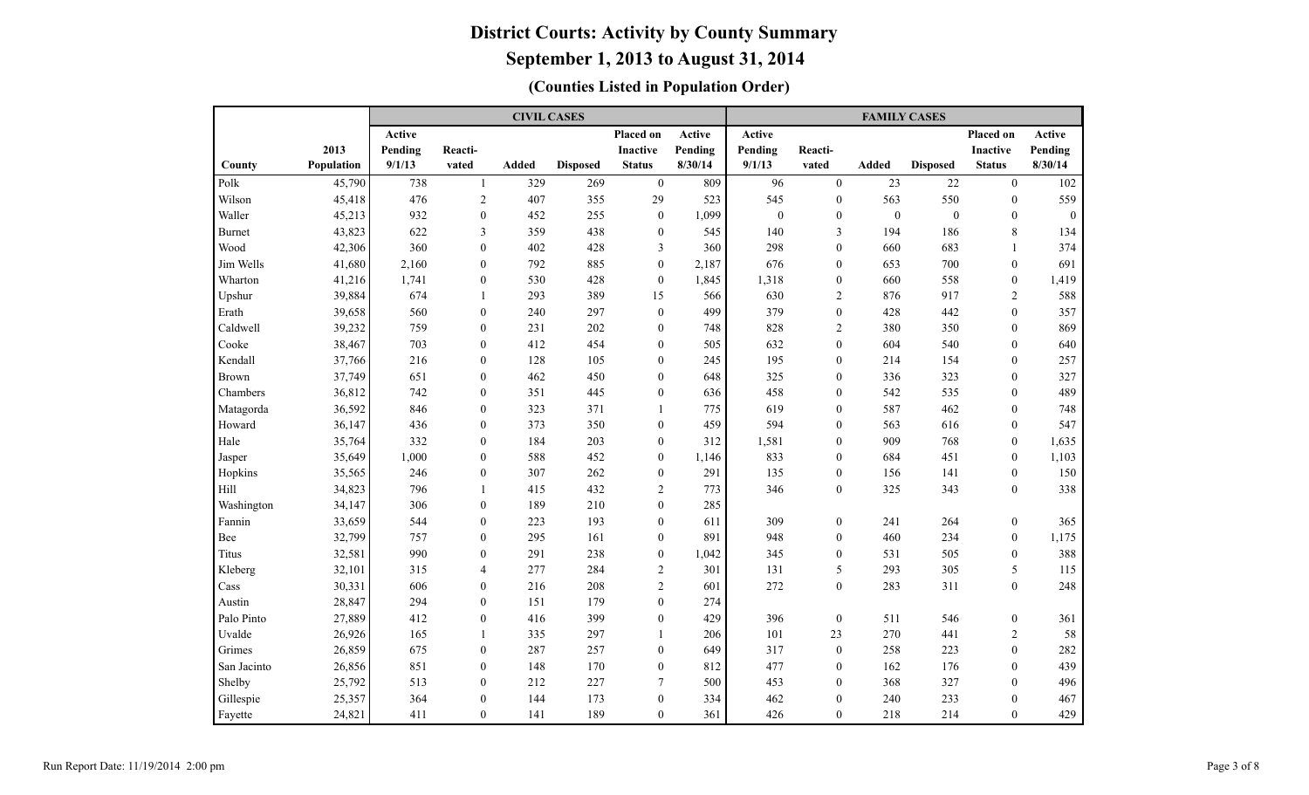|               |            |         |                  | <b>CIVIL CASES</b> |                 |                  |         |          |                  | <b>FAMILY CASES</b> |                  |                  |               |
|---------------|------------|---------|------------------|--------------------|-----------------|------------------|---------|----------|------------------|---------------------|------------------|------------------|---------------|
|               |            | Active  |                  |                    |                 | Placed on        | Active  | Active   |                  |                     |                  | Placed on        | <b>Active</b> |
|               | 2013       | Pending | Reacti-          |                    |                 | <b>Inactive</b>  | Pending | Pending  | Reacti-          |                     |                  | <b>Inactive</b>  | Pending       |
| County        | Population | 9/1/13  | vated            | Added              | <b>Disposed</b> | <b>Status</b>    | 8/30/14 | 9/1/13   | vated            | <b>Added</b>        | <b>Disposed</b>  | <b>Status</b>    | 8/30/14       |
| Polk          | 45,790     | 738     | $\mathbf{1}$     | 329                | 269             | $\boldsymbol{0}$ | 809     | 96       | $\mathbf{0}$     | 23                  | 22               | $\mathbf{0}$     | 102           |
| Wilson        | 45,418     | 476     | $\overline{2}$   | 407                | 355             | 29               | 523     | 545      | $\boldsymbol{0}$ | 563                 | 550              | $\boldsymbol{0}$ | 559           |
| Waller        | 45,213     | 932     | $\mathbf{0}$     | 452                | 255             | $\bf{0}$         | 1,099   | $\bf{0}$ | $\boldsymbol{0}$ | $\bf{0}$            | $\boldsymbol{0}$ | $\mathbf{0}$     | $\mathbf{0}$  |
| <b>Burnet</b> | 43,823     | 622     | 3                | 359                | 438             | $\boldsymbol{0}$ | 545     | 140      | $\mathfrak{Z}$   | 194                 | 186              | $\,$ 8 $\,$      | 134           |
| Wood          | 42,306     | 360     | $\mathbf{0}$     | 402                | 428             | 3                | 360     | 298      | $\mathbf{0}$     | 660                 | 683              | 1                | 374           |
| Jim Wells     | 41,680     | 2,160   | $\mathbf{0}$     | 792                | 885             | $\boldsymbol{0}$ | 2,187   | 676      | $\theta$         | 653                 | 700              | $\mathbf{0}$     | 691           |
| Wharton       | 41,216     | 1,741   | $\mathbf{0}$     | 530                | 428             | $\mathbf{0}$     | 1,845   | 1,318    | $\mathbf{0}$     | 660                 | 558              | $\mathbf{0}$     | 1,419         |
| Upshur        | 39,884     | 674     | $\mathbf{1}$     | 293                | 389             | 15               | 566     | 630      | $\overline{2}$   | 876                 | 917              | 2                | 588           |
| Erath         | 39,658     | 560     | $\mathbf{0}$     | 240                | 297             | $\bf{0}$         | 499     | 379      | $\mathbf{0}$     | 428                 | 442              | $\mathbf{0}$     | 357           |
| Caldwell      | 39,232     | 759     | $\mathbf{0}$     | 231                | 202             | $\boldsymbol{0}$ | 748     | 828      | $\sqrt{2}$       | 380                 | 350              | $\mathbf{0}$     | 869           |
| Cooke         | 38,467     | 703     | $\boldsymbol{0}$ | 412                | 454             | $\boldsymbol{0}$ | 505     | 632      | $\theta$         | 604                 | 540              | $\boldsymbol{0}$ | 640           |
| Kendall       | 37,766     | 216     | $\boldsymbol{0}$ | 128                | 105             | $\boldsymbol{0}$ | 245     | 195      | $\boldsymbol{0}$ | 214                 | 154              | $\mathbf{0}$     | 257           |
| <b>Brown</b>  | 37,749     | 651     | $\boldsymbol{0}$ | 462                | 450             | $\boldsymbol{0}$ | 648     | 325      | $\mathbf{0}$     | 336                 | 323              | $\mathbf{0}$     | 327           |
| Chambers      | 36,812     | 742     | $\mathbf{0}$     | 351                | 445             | $\boldsymbol{0}$ | 636     | 458      | $\mathbf{0}$     | 542                 | 535              | $\mathbf{0}$     | 489           |
| Matagorda     | 36,592     | 846     | $\mathbf{0}$     | 323                | 371             | 1                | 775     | 619      | $\mathbf{0}$     | 587                 | 462              | $\mathbf{0}$     | 748           |
| Howard        | 36,147     | 436     | $\mathbf{0}$     | 373                | 350             | $\mathbf{0}$     | 459     | 594      | $\mathbf{0}$     | 563                 | 616              | $\mathbf{0}$     | 547           |
| Hale          | 35,764     | 332     | $\theta$         | 184                | 203             | $\boldsymbol{0}$ | 312     | 1,581    | $\mathbf{0}$     | 909                 | 768              | $\mathbf{0}$     | 1,635         |
| Jasper        | 35,649     | 1,000   | $\theta$         | 588                | 452             | $\mathbf{0}$     | 1,146   | 833      | $\mathbf{0}$     | 684                 | 451              | $\mathbf{0}$     | 1,103         |
| Hopkins       | 35,565     | 246     | $\overline{0}$   | 307                | 262             | $\boldsymbol{0}$ | 291     | 135      | $\mathbf{0}$     | 156                 | 141              | $\mathbf{0}$     | 150           |
| Hill          | 34,823     | 796     | $\mathbf{1}$     | 415                | 432             | $\mathfrak{2}$   | 773     | 346      | $\theta$         | 325                 | 343              | $\theta$         | 338           |
| Washington    | 34,147     | 306     | $\theta$         | 189                | 210             | $\mathbf{0}$     | 285     |          |                  |                     |                  |                  |               |
| Fannin        | 33,659     | 544     | $\theta$         | 223                | 193             | $\boldsymbol{0}$ | 611     | 309      | $\boldsymbol{0}$ | 241                 | 264              | $\theta$         | 365           |
| Bee           | 32,799     | 757     | $\mathbf{0}$     | 295                | 161             | $\boldsymbol{0}$ | 891     | 948      | $\mathbf{0}$     | 460                 | 234              | $\mathbf{0}$     | 1,175         |
| Titus         | 32,581     | 990     | $\boldsymbol{0}$ | 291                | 238             | $\boldsymbol{0}$ | 1,042   | 345      | $\boldsymbol{0}$ | 531                 | 505              | $\boldsymbol{0}$ | 388           |
| Kleberg       | 32,101     | 315     | 4                | 277                | 284             | $\overline{2}$   | 301     | 131      | 5                | 293                 | 305              | 5                | 115           |
| Cass          | 30,331     | 606     | $\boldsymbol{0}$ | 216                | 208             | $\overline{2}$   | 601     | 272      | $\mathbf{0}$     | 283                 | 311              | $\mathbf{0}$     | 248           |
| Austin        | 28,847     | 294     | $\mathbf{0}$     | 151                | 179             | $\boldsymbol{0}$ | 274     |          |                  |                     |                  |                  |               |
| Palo Pinto    | 27,889     | 412     | $\mathbf{0}$     | 416                | 399             | $\boldsymbol{0}$ | 429     | 396      | $\mathbf{0}$     | 511                 | 546              | $\boldsymbol{0}$ | 361           |
| Uvalde        | 26,926     | 165     | $\mathbf{1}$     | 335                | 297             | $\mathbf{1}$     | 206     | 101      | 23               | 270                 | 441              | $\overline{2}$   | 58            |
| Grimes        | 26,859     | 675     | $\theta$         | 287                | 257             | $\mathbf{0}$     | 649     | 317      | $\mathbf{0}$     | 258                 | 223              | $\mathbf{0}$     | 282           |
| San Jacinto   | 26,856     | 851     | $\theta$         | 148                | 170             | $\mathbf{0}$     | 812     | 477      | $\mathbf{0}$     | 162                 | 176              | $\theta$         | 439           |
| Shelby        | 25,792     | 513     | $\theta$         | 212                | 227             | 7                | 500     | 453      | $\mathbf{0}$     | 368                 | 327              | $\theta$         | 496           |
| Gillespie     | 25,357     | 364     | $\theta$         | 144                | 173             | $\boldsymbol{0}$ | 334     | 462      | $\theta$         | 240                 | 233              | $\theta$         | 467           |
| Fayette       | 24,821     | 411     | $\overline{0}$   | 141                | 189             | $\mathbf{0}$     | 361     | 426      | $\mathbf{0}$     | 218                 | 214              | $\mathbf{0}$     | 429           |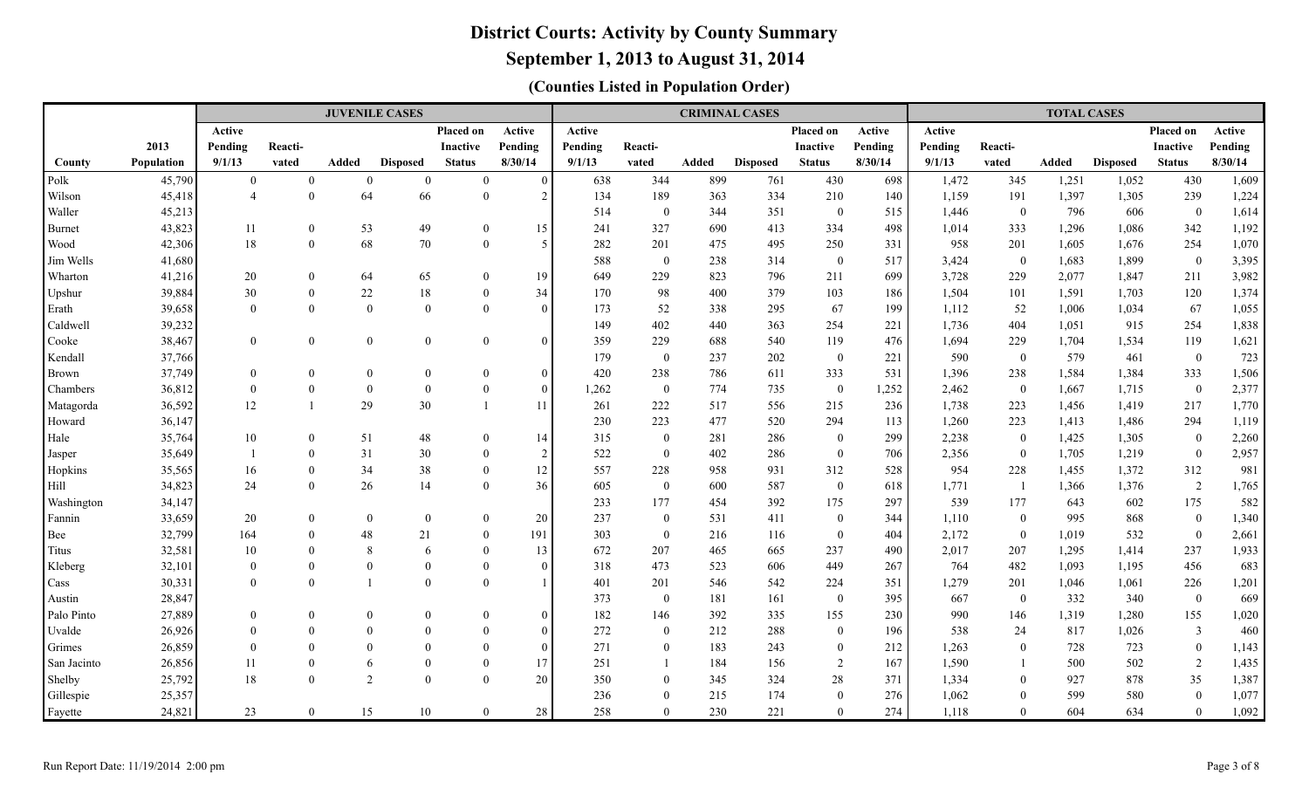### **September 1, 2013 to August 31, 2014**

|               |                  |                |                      | <b>JUVENILE CASES</b> |                      |                            |                         |            |                                |            | <b>CRIMINAL CASES</b> |                  |            |                |                  | <b>TOTAL CASES</b> |                 |                    |                |
|---------------|------------------|----------------|----------------------|-----------------------|----------------------|----------------------------|-------------------------|------------|--------------------------------|------------|-----------------------|------------------|------------|----------------|------------------|--------------------|-----------------|--------------------|----------------|
|               |                  | Active         |                      |                       |                      | <b>Placed on</b>           | Active                  | Active     |                                |            |                       | Placed on        | Active     | Active         |                  |                    |                 | Placed on          | Active         |
|               | 2013             | Pending        | Reacti-              |                       |                      | Inactive                   | Pending                 | Pending    | Reacti-                        |            |                       | <b>Inactive</b>  | Pending    | Pending        | Reacti-          |                    |                 | <b>Inactive</b>    | Pending        |
| County        | Population       | 9/1/13         | vated                | Added                 | <b>Disposed</b>      | <b>Status</b>              | 8/30/14                 | 9/1/13     | vated                          | Added      | <b>Disposed</b>       | <b>Status</b>    | 8/30/14    | 9/1/13         | vated            | Added              | <b>Disposed</b> | <b>Status</b>      | 8/30/14        |
| Polk          | 45,790           | $\overline{0}$ | $\overline{0}$       | $\mathbf{0}$          | $\overline{0}$       | $\mathbf{0}$               | $\theta$                | 638        | 344                            | 899        | 761                   | 430              | 698        | 1,472          | 345              | 1,251              | 1,052           | 430                | 1,609          |
| Wilson        | 45,418           | $\overline{4}$ | $\theta$             | 64                    | 66                   | $\mathbf{0}$               | $\mathfrak{D}$          | 134        | 189                            | 363        | 334                   | 210              | 140        | 1,159          | 191              | 1,397              | 1,305           | 239                | 1,224          |
| Waller        | 45,213           |                |                      |                       |                      |                            |                         | 514        | $\mathbf{0}$                   | 344        | 351                   | $\overline{0}$   | 515        | 1,446          | $\overline{0}$   | 796                | 606             | $\overline{0}$     | 1,614          |
| <b>Burnet</b> | 43,823           | 11             | $\overline{0}$       | 53                    | 49                   | $\overline{0}$             | 15                      | 241        | 327                            | 690        | 413                   | 334              | 498        | 1,014          | 333              | 1,296              | 1,086           | 342                | 1,192          |
| Wood          | 42,306           | 18             | $\theta$             | 68                    | 70                   | $\mathbf{0}$               | $\overline{\mathbf{5}}$ | 282        | 201                            | 475        | 495                   | 250              | 331        | 958            | 201              | 1,605              | 1,676           | 254                | 1,070          |
| Jim Wells     | 41,680           |                |                      |                       |                      |                            |                         | 588        | $\mathbf{0}$                   | 238        | 314                   | $\boldsymbol{0}$ | 517        | 3,424          | $\boldsymbol{0}$ | 1,683              | 1,899           | $\mathbf{0}$       | 3,395          |
| Wharton       | 41,216           | 20             | $\overline{0}$       | 64                    | 65                   | $\overline{0}$             | 19                      | 649        | 229                            | 823        | 796                   | 211              | 699        | 3,728          | 229              | 2,077              | 1,847           | 211                | 3,982          |
| Upshur        | 39,884           | 30             | $\mathbf{0}$         | $22\,$                | 18                   | $\overline{0}$             | 34                      | 170        | 98                             | 400        | 379                   | 103              | 186        | 1,504          | 101              | 1,591              | 1,703           | 120                | 1,374          |
| Erath         | 39,658           | $\Omega$       | $\mathbf{0}$         | $\mathbf{0}$          | $\theta$             | $\overline{0}$             | $\theta$                | 173        | 52                             | 338        | 295                   | 67               | 199        | 1,112          | 52               | 1,006              | 1,034           | 67                 | 1,055          |
| Caldwell      | 39,232           |                |                      |                       |                      |                            |                         | 149        | 402                            | 440        | 363                   | 254              | 221        | 1,736          | 404              | 1,051              | 915             | 254                | 1,838          |
| Cooke         | 38,467           | $\theta$       | $\mathbf{0}$         | $\boldsymbol{0}$      | $\theta$             | $\overline{0}$             | $\Omega$                | 359        | 229                            | 688        | 540                   | 119              | 476        | 1,694          | 229              | 1,704              | 1,534           | 119                | 1,621          |
| Kendall       | 37,766           |                |                      |                       |                      |                            |                         | 179        | $\overline{0}$                 | 237        | 202                   | $\overline{0}$   | 221        | 590            | $\overline{0}$   | 579                | 461             | $\bf{0}$           | 723            |
| Brown         | 37,749           | $\mathbf{0}$   | $\theta$             | $\boldsymbol{0}$      | $\boldsymbol{0}$     | $\mathbf{0}$               | $\theta$                | 420        | 238                            | 786        | 611                   | 333              | 531        | 1,396          | 238              | 1,584              | 1,384           | 333                | 1,506          |
| Chambers      | 36,812           | $\overline{0}$ | $\boldsymbol{0}$     | $\mathbf{0}$          | $\boldsymbol{0}$     | $\overline{0}$             | $\mathbf{0}$            | 1,262      | $\bf{0}$                       | 774        | 735                   | $\mathbf{0}$     | 1,252      | 2,462          | $\bf{0}$         | 1,667              | 1,715           | $\mathbf{0}$       | 2,377          |
| Matagorda     | 36,592           | 12             | $\overline{1}$       | 29                    | 30                   | $\mathbf{1}$               | 11                      | 261        | 222                            | 517        | 556                   | 215              | 236        | 1,738          | 223              | 1,456              | 1,419           | 217                | 1,770          |
| Howard        | 36,147           |                |                      |                       |                      |                            |                         | 230        | 223                            | 477        | 520                   | 294              | 113        | 1,260          | 223              | 1,413              | 1,486           | 294                | 1,119          |
| Hale          | 35,764           | 10             | $\overline{0}$       | 51                    | 48                   | $\overline{0}$             | 14                      | 315        | $\mathbf{0}$                   | 281        | 286                   | $\mathbf{0}$     | 299        | 2,238          | $\overline{0}$   | 1,425              | 1,305           | $\overline{0}$     | 2,260          |
| Jasper        | 35,649           |                | $\overline{0}$       | 31                    | 30                   | $\theta$                   | 2                       | 522        | $\overline{0}$                 | 402        | 286                   | $\mathbf{0}$     | 706        | 2,356          | $\overline{0}$   | 1,705              | 1,219           | $\overline{0}$     | 2,957          |
| Hopkins       | 35,565           | 16             | $\overline{0}$       | 34                    | 38                   | $\theta$                   | $12\,$                  | 557        | 228                            | 958        | 931                   | 312              | 528        | 954            | 228              | 1,455              | 1,372           | 312                | 981            |
| Hill          | 34,823           | 24             | $\mathbf{0}$         | 26                    | 14                   | $\overline{0}$             | 36                      | 605        | $\mathbf{0}$                   | 600        | 587                   | $\mathbf{0}$     | 618        | 1,771          | - 1              | 1,366              | 1,376           | $\overline{2}$     | 1,765          |
| Washington    | 34,147           |                |                      |                       |                      |                            |                         | 233        | 177                            | 454        | 392                   | 175              | 297        | 539            | 177              | 643                | 602             | 175                | 582            |
| Fannin        | 33,659           | 20             | $\overline{0}$       | $\mathbf{0}$          | $\overline{0}$       | $\overline{0}$             | 20                      | 237        | $\mathbf{0}$                   | 531        | 411                   | $\mathbf{0}$     | 344        | 1,110          | $\mathbf{0}$     | 995                | 868             | $\mathbf{0}$       | 1,340          |
| Bee           | 32,799           | 164            | $\overline{0}$       | 48                    | 21                   | $\overline{0}$             | 191                     | 303        | $\mathbf{0}$                   | 216        | 116                   | $\mathbf{0}$     | 404        | 2,172          | $\overline{0}$   | 1,019              | 532             | $\overline{0}$     | 2,661          |
| Titus         | 32,581           | 10             | $\Omega$             | 8                     | 6                    | $\overline{0}$             | 13                      | 672        | 207                            | 465        | 665                   | 237              | 490        | 2,017          | 207              | 1,295              | 1,414           | 237                | 1,933          |
| Kleberg       | 32,101           | $\Omega$       | $\theta$             | $\mathbf{0}$          | $\overline{0}$       | $\overline{0}$             | $\theta$                | 318        | 473                            | 523        | 606                   | 449              | 267        | 764            | 482              | 1,093              | 1,195           | 456                | 683            |
| Cass          | 30,331           | $\Omega$       | $\theta$             | $\overline{1}$        | $\theta$             | $\theta$                   |                         | 401        | 201                            | 546        | 542                   | 224              | 351        | 1,279          | 201              | 1,046              | 1,061           | 226                | 1,201          |
| Austin        | 28,847           |                |                      |                       |                      |                            |                         | 373        | $\mathbf{0}$                   | 181        | 161                   | $\boldsymbol{0}$ | 395        | 667            | $\overline{0}$   | 332                | 340             | $\bf{0}$           | 669            |
| Palo Pinto    | 27,889           | $\mathbf{0}$   | $\theta$             | $\mathbf{0}$          | $\boldsymbol{0}$     | $\boldsymbol{0}$           | $\theta$                | 182        | 146                            | 392        | 335                   | 155              | 230        | 990            | 146              | 1,319              | 1,280           | 155                | 1,020          |
| Uvalde        | 26,926           | $\Omega$       | $\Omega$             | $\mathbf{0}$          | $\theta$             | $\overline{0}$             | $\Omega$                | 272        | $\overline{0}$                 | 212        | 288                   | $\mathbf{0}$     | 196        | 538            | 24               | 817                | 1,026           | $\overline{3}$     | 460            |
| Grimes        | 26,859           | $\Omega$       | $\Omega$             | $\theta$              | $\theta$             | $\overline{0}$             | $\overline{0}$          | 271        | $\overline{0}$                 | 183        | 243                   | $\mathbf{0}$     | 212        | 1,263          | $\overline{0}$   | 728                | 723             | $\overline{0}$     | 1,143          |
| San Jacinto   | 26,856<br>25,792 | 11<br>18       | $\theta$<br>$\Omega$ | 6<br>2                | $\theta$<br>$\Omega$ | $\overline{0}$<br>$\theta$ | 17<br>20                | 251<br>350 | $\mathbf{1}$<br>$\overline{0}$ | 184<br>345 | 156<br>324            | $\overline{2}$   | 167<br>371 | 1,590<br>1,334 | $\overline{0}$   | 500<br>927         | 502<br>878      | 2                  | 1,435<br>1,387 |
| Shelby        |                  |                |                      |                       |                      |                            |                         |            | $\overline{0}$                 |            | 174                   | 28<br>$\theta$   | 276        |                | $\Omega$         | 599                | 580             | 35<br>$\mathbf{0}$ | 1,077          |
| Gillespie     | 25,357           |                | $\theta$             |                       |                      | $\theta$                   |                         | 236<br>258 | $\theta$                       | 215        | 221                   | $\Omega$         | 274        | 1,062          | $\Omega$         | 604                | 634             | $\theta$           |                |
| Fayette       | 24,821           | 23             |                      | 15                    | $10\,$               |                            | 28                      |            |                                | 230        |                       |                  |            | 1,118          |                  |                    |                 |                    | 1,092          |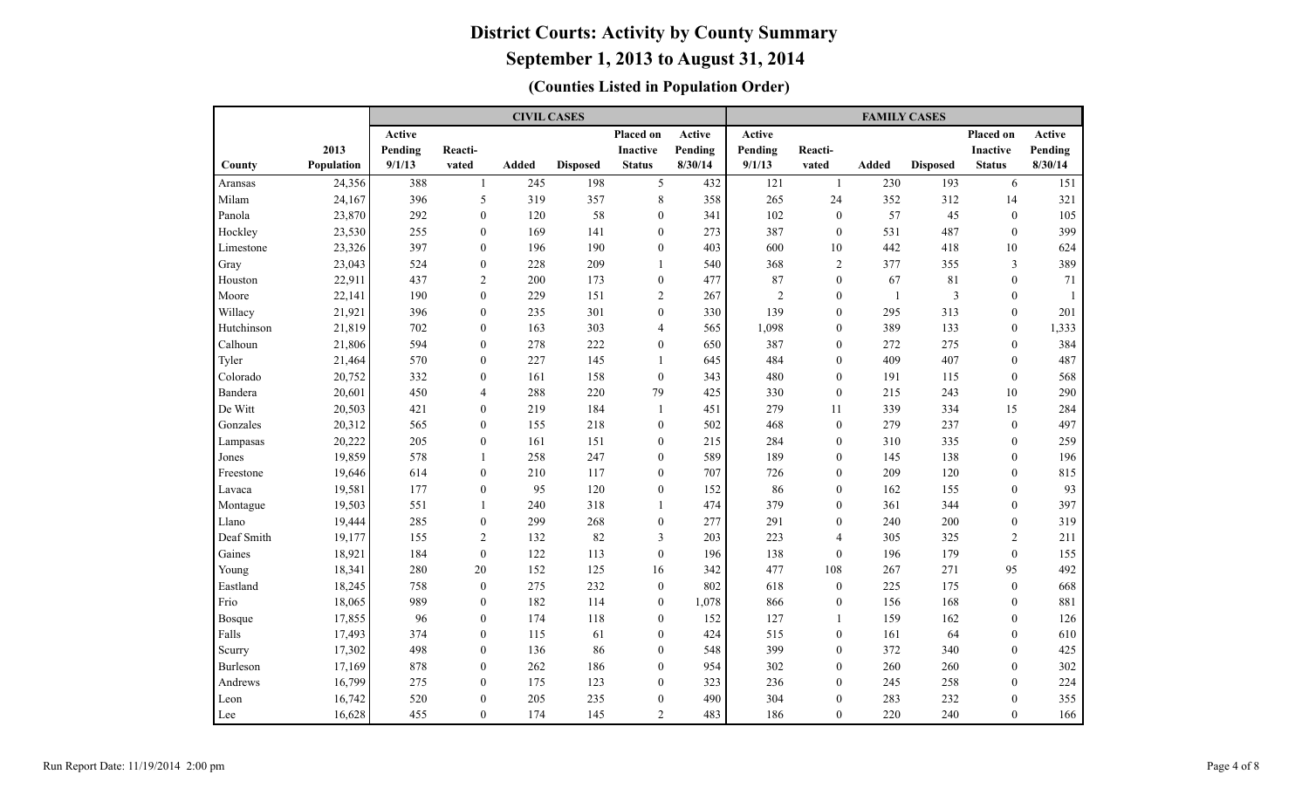|            |            |               |                  | <b>CIVIL CASES</b> |                 |                  |         |         |                  | <b>FAMILY CASES</b> |                 |                  |               |
|------------|------------|---------------|------------------|--------------------|-----------------|------------------|---------|---------|------------------|---------------------|-----------------|------------------|---------------|
|            |            | <b>Active</b> |                  |                    |                 | Placed on        | Active  | Active  |                  |                     |                 | Placed on        | <b>Active</b> |
|            | 2013       | Pending       | Reacti-          |                    |                 | <b>Inactive</b>  | Pending | Pending | Reacti-          |                     |                 | <b>Inactive</b>  | Pending       |
| County     | Population | 9/1/13        | vated            | Added              | <b>Disposed</b> | <b>Status</b>    | 8/30/14 | 9/1/13  | vated            | <b>Added</b>        | <b>Disposed</b> | <b>Status</b>    | 8/30/14       |
| Aransas    | 24,356     | 388           | $\mathbf{1}$     | 245                | 198             | 5                | 432     | 121     | $\mathbf{1}$     | 230                 | 193             | 6                | 151           |
| Milam      | 24,167     | 396           | 5                | 319                | 357             | 8                | 358     | 265     | 24               | 352                 | 312             | 14               | 321           |
| Panola     | 23,870     | 292           | $\mathbf{0}$     | 120                | 58              | $\boldsymbol{0}$ | 341     | 102     | $\mathbf{0}$     | 57                  | 45              | $\mathbf{0}$     | 105           |
| Hockley    | 23,530     | 255           | $\mathbf{0}$     | 169                | 141             | $\mathbf{0}$     | 273     | 387     | $\mathbf{0}$     | 531                 | 487             | $\mathbf{0}$     | 399           |
| Limestone  | 23,326     | 397           | $\mathbf{0}$     | 196                | 190             | $\mathbf{0}$     | 403     | 600     | 10               | 442                 | 418             | 10               | 624           |
| Gray       | 23,043     | 524           | $\mathbf{0}$     | 228                | 209             | $\mathbf{1}$     | 540     | 368     | $\overline{2}$   | 377                 | 355             | 3                | 389           |
| Houston    | 22,911     | 437           | $\overline{c}$   | 200                | 173             | $\mathbf{0}$     | 477     | 87      | $\mathbf{0}$     | 67                  | 81              | $\mathbf{0}$     | 71            |
| Moore      | 22,141     | 190           | $\overline{0}$   | 229                | 151             | $\overline{2}$   | 267     | 2       | $\mathbf{0}$     | -1                  | $\mathfrak{Z}$  | $\mathbf{0}$     |               |
| Willacy    | 21,921     | 396           | $\mathbf{0}$     | 235                | 301             | $\boldsymbol{0}$ | 330     | 139     | $\mathbf{0}$     | 295                 | 313             | $\mathbf{0}$     | 201           |
| Hutchinson | 21,819     | 702           | $\mathbf{0}$     | 163                | 303             | 4                | 565     | 1,098   | $\mathbf{0}$     | 389                 | 133             | $\mathbf{0}$     | 1,333         |
| Calhoun    | 21,806     | 594           | $\boldsymbol{0}$ | 278                | 222             | $\boldsymbol{0}$ | 650     | 387     | $\theta$         | 272                 | 275             | $\boldsymbol{0}$ | 384           |
| Tyler      | 21,464     | 570           | $\boldsymbol{0}$ | 227                | 145             | 1                | 645     | 484     | $\mathbf{0}$     | 409                 | 407             | $\mathbf{0}$     | 487           |
| Colorado   | 20,752     | 332           | $\boldsymbol{0}$ | 161                | 158             | $\boldsymbol{0}$ | 343     | 480     | $\mathbf{0}$     | 191                 | 115             | $\boldsymbol{0}$ | 568           |
| Bandera    | 20,601     | 450           | 4                | 288                | 220             | 79               | 425     | 330     | $\mathbf{0}$     | 215                 | 243             | 10               | 290           |
| De Witt    | 20,503     | 421           | $\mathbf{0}$     | 219                | 184             | 1                | 451     | 279     | 11               | 339                 | 334             | 15               | 284           |
| Gonzales   | 20,312     | 565           | $\mathbf{0}$     | 155                | 218             | $\mathbf{0}$     | 502     | 468     | $\mathbf{0}$     | 279                 | 237             | $\mathbf{0}$     | 497           |
| Lampasas   | 20,222     | 205           | $\mathbf{0}$     | 161                | 151             | $\mathbf{0}$     | 215     | 284     | $\mathbf{0}$     | 310                 | 335             | $\theta$         | 259           |
| Jones      | 19,859     | 578           | $\mathbf{1}$     | 258                | 247             | $\overline{0}$   | 589     | 189     | $\mathbf{0}$     | 145                 | 138             | $\theta$         | 196           |
| Freestone  | 19,646     | 614           | $\theta$         | 210                | 117             | $\mathbf{0}$     | 707     | 726     | $\mathbf{0}$     | 209                 | 120             | $\theta$         | 815           |
| Lavaca     | 19,581     | 177           | $\mathbf{0}$     | 95                 | 120             | $\mathbf{0}$     | 152     | 86      | $\mathbf{0}$     | 162                 | 155             | $\theta$         | 93            |
| Montague   | 19,503     | 551           | $\mathbf{1}$     | 240                | 318             | $\mathbf{1}$     | 474     | 379     | $\theta$         | 361                 | 344             | $\Omega$         | 397           |
| Llano      | 19,444     | 285           | $\boldsymbol{0}$ | 299                | 268             | $\boldsymbol{0}$ | 277     | 291     | $\theta$         | 240                 | 200             | $\theta$         | 319           |
| Deaf Smith | 19,177     | 155           | $\overline{c}$   | 132                | 82              | 3                | 203     | 223     | $\overline{4}$   | 305                 | 325             | $\overline{2}$   | 211           |
| Gaines     | 18,921     | 184           | $\boldsymbol{0}$ | 122                | 113             | $\boldsymbol{0}$ | 196     | 138     | $\mathbf{0}$     | 196                 | 179             | $\mathbf{0}$     | 155           |
| Young      | 18,341     | 280           | 20               | 152                | 125             | 16               | 342     | 477     | 108              | 267                 | 271             | 95               | 492           |
| Eastland   | 18,245     | 758           | $\boldsymbol{0}$ | 275                | 232             | $\mathbf{0}$     | 802     | 618     | $\boldsymbol{0}$ | 225                 | 175             | $\boldsymbol{0}$ | 668           |
| Frio       | 18,065     | 989           | $\boldsymbol{0}$ | 182                | 114             | $\boldsymbol{0}$ | 1,078   | 866     | $\mathbf{0}$     | 156                 | 168             | $\mathbf{0}$     | 881           |
| Bosque     | 17,855     | 96            | $\mathbf{0}$     | 174                | 118             | $\boldsymbol{0}$ | 152     | 127     | $\mathbf{1}$     | 159                 | 162             | $\mathbf{0}$     | 126           |
| Falls      | 17,493     | 374           | $\mathbf{0}$     | 115                | 61              | $\mathbf{0}$     | 424     | 515     | $\mathbf{0}$     | 161                 | 64              | $\mathbf{0}$     | 610           |
| Scurry     | 17,302     | 498           | $\mathbf{0}$     | 136                | 86              | $\overline{0}$   | 548     | 399     | $\theta$         | 372                 | 340             | $\theta$         | 425           |
| Burleson   | 17,169     | 878           | $\theta$         | 262                | 186             | $\mathbf{0}$     | 954     | 302     | $\theta$         | 260                 | 260             | $\theta$         | 302           |
| Andrews    | 16,799     | 275           | $\theta$         | 175                | 123             | $\mathbf{0}$     | 323     | 236     | $\theta$         | 245                 | 258             | $\theta$         | 224           |
| Leon       | 16,742     | 520           | $\theta$         | 205                | 235             | $\boldsymbol{0}$ | 490     | 304     | $\theta$         | 283                 | 232             | $\theta$         | 355           |
| Lee        | 16,628     | 455           | $\overline{0}$   | 174                | 145             | $\overline{2}$   | 483     | 186     | $\mathbf{0}$     | 220                 | 240             | $\mathbf{0}$     | 166           |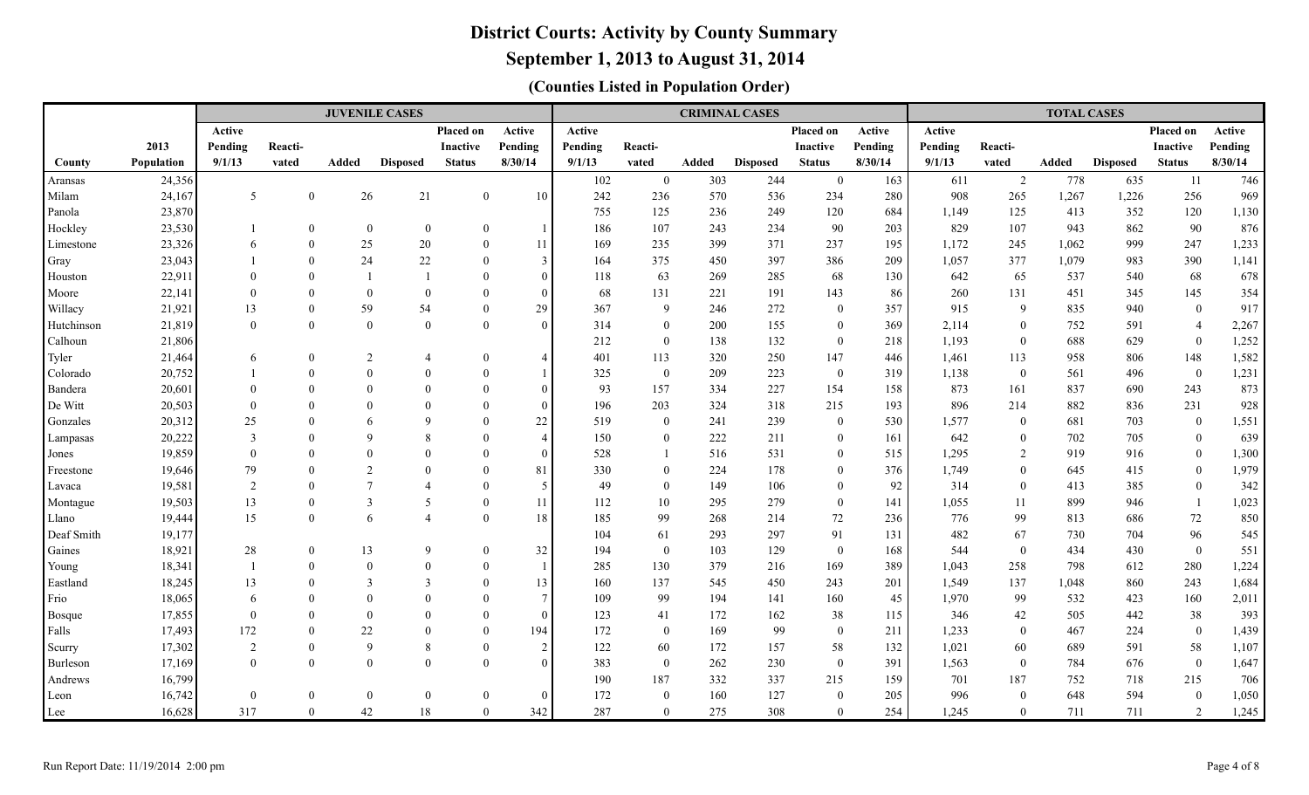### **September 1, 2013 to August 31, 2014**

| Active<br>Active<br>Placed on<br>Active<br>Placed on<br>Active<br>Active<br>2013<br>Pending<br>Pending<br>Pending<br>Reacti-<br><b>Inactive</b><br>Pending<br>Reacti-<br><b>Inactive</b><br>Pending<br>Reacti-<br>9/1/13<br>8/30/14<br>8/30/14<br>9/1/13<br>Population<br>Added<br><b>Disposed</b><br><b>Status</b><br>9/1/13<br>vated<br>Added<br><b>Disposed</b><br><b>Status</b><br>vated<br><b>Added</b><br><b>Disposed</b><br>vated<br>County<br>778<br>24,356<br>102<br>$\mathbf{0}$<br>303<br>244<br>163<br>611<br>$\overline{2}$<br>$\overline{0}$<br>Aransas<br>21<br>242<br>908<br>Milam<br>24,167<br>5<br>$\mathbf{0}$<br>26<br>$\mathbf{0}$<br>10<br>236<br>570<br>536<br>234<br>280<br>265<br>1,267<br>23,870<br>684<br>Panola<br>755<br>125<br>236<br>249<br>120<br>1,149<br>125<br>413<br>Hockley<br>23,530<br>$\mathbf{0}$<br>186<br>107<br>90<br>203<br>829<br>107<br>943<br>$\mathbf{0}$<br>$\overline{0}$<br>$\Omega$<br>243<br>234<br>25<br>23,326<br>$\mathbf{0}$<br>20<br>169<br>235<br>399<br>371<br>237<br>195<br>1,172<br>245<br>1,062<br>$\Omega$<br>11<br>6 | Placed on<br>Active<br>Pending<br><b>Inactive</b><br>8/30/14<br><b>Status</b> |
|----------------------------------------------------------------------------------------------------------------------------------------------------------------------------------------------------------------------------------------------------------------------------------------------------------------------------------------------------------------------------------------------------------------------------------------------------------------------------------------------------------------------------------------------------------------------------------------------------------------------------------------------------------------------------------------------------------------------------------------------------------------------------------------------------------------------------------------------------------------------------------------------------------------------------------------------------------------------------------------------------------------------------------------------------------------------------------------|-------------------------------------------------------------------------------|
|                                                                                                                                                                                                                                                                                                                                                                                                                                                                                                                                                                                                                                                                                                                                                                                                                                                                                                                                                                                                                                                                                        |                                                                               |
|                                                                                                                                                                                                                                                                                                                                                                                                                                                                                                                                                                                                                                                                                                                                                                                                                                                                                                                                                                                                                                                                                        |                                                                               |
|                                                                                                                                                                                                                                                                                                                                                                                                                                                                                                                                                                                                                                                                                                                                                                                                                                                                                                                                                                                                                                                                                        |                                                                               |
|                                                                                                                                                                                                                                                                                                                                                                                                                                                                                                                                                                                                                                                                                                                                                                                                                                                                                                                                                                                                                                                                                        | 635<br>11<br>746                                                              |
|                                                                                                                                                                                                                                                                                                                                                                                                                                                                                                                                                                                                                                                                                                                                                                                                                                                                                                                                                                                                                                                                                        | 256<br>969<br>1,226                                                           |
|                                                                                                                                                                                                                                                                                                                                                                                                                                                                                                                                                                                                                                                                                                                                                                                                                                                                                                                                                                                                                                                                                        | 1,130<br>352<br>120                                                           |
|                                                                                                                                                                                                                                                                                                                                                                                                                                                                                                                                                                                                                                                                                                                                                                                                                                                                                                                                                                                                                                                                                        | 862<br>90<br>876                                                              |
| Limestone                                                                                                                                                                                                                                                                                                                                                                                                                                                                                                                                                                                                                                                                                                                                                                                                                                                                                                                                                                                                                                                                              | 1,233<br>999<br>247                                                           |
| $\theta$<br>24<br>22<br>23,043<br>3<br>164<br>375<br>397<br>209<br>1,057<br>377<br>1,079<br>$\Omega$<br>450<br>386<br>Gray                                                                                                                                                                                                                                                                                                                                                                                                                                                                                                                                                                                                                                                                                                                                                                                                                                                                                                                                                             | 390<br>1,141<br>983                                                           |
| 68<br>$\theta$<br>118<br>63<br>642<br>65<br>537<br>22,911<br>$\overline{1}$<br>$\Omega$<br>$\Omega$<br>269<br>285<br>130<br>Houston<br>$\Omega$                                                                                                                                                                                                                                                                                                                                                                                                                                                                                                                                                                                                                                                                                                                                                                                                                                                                                                                                        | 68<br>678<br>540                                                              |
| $\mathbf{0}$<br>68<br>22,141<br>$\mathbf{0}$<br>$\overline{0}$<br>131<br>221<br>191<br>143<br>86<br>260<br>131<br>451<br>$\Omega$<br>$\Omega$<br>Moore<br>$\Omega$                                                                                                                                                                                                                                                                                                                                                                                                                                                                                                                                                                                                                                                                                                                                                                                                                                                                                                                     | 354<br>345<br>145                                                             |
| 54<br>59<br>29<br>367<br>$\overline{9}$<br>246<br>272<br>357<br>915<br>$\overline{9}$<br>835<br>Willacy<br>21,921<br>$\boldsymbol{0}$<br>$\boldsymbol{0}$<br>13<br>$\Omega$                                                                                                                                                                                                                                                                                                                                                                                                                                                                                                                                                                                                                                                                                                                                                                                                                                                                                                            | 917<br>940<br>$\overline{0}$                                                  |
| $\mathbf{0}$<br>$\mathbf{0}$<br>$\theta$<br>314<br>369<br>2,114<br>Hutchinson<br>21,819<br>$\theta$<br>$\Omega$<br>$\Omega$<br>200<br>155<br>$\mathbf{0}$<br>$\mathbf{0}$<br>752<br>$\overline{0}$                                                                                                                                                                                                                                                                                                                                                                                                                                                                                                                                                                                                                                                                                                                                                                                                                                                                                     | 2,267<br>591<br>$\overline{4}$                                                |
| 21,806<br>212<br>138<br>132<br>$\mathbf{0}$<br>1,193<br>688<br>Calhoun<br>$\mathbf{0}$<br>218<br>$\mathbf{0}$                                                                                                                                                                                                                                                                                                                                                                                                                                                                                                                                                                                                                                                                                                                                                                                                                                                                                                                                                                          | 1,252<br>629<br>$\mathbf{0}$                                                  |
| $\boldsymbol{0}$<br>2<br>401<br>113<br>320<br>250<br>147<br>446<br>113<br>958<br>21,464<br>$\overline{4}$<br>$\Omega$<br>1,461<br>Tyler<br>6<br>$\overline{4}$                                                                                                                                                                                                                                                                                                                                                                                                                                                                                                                                                                                                                                                                                                                                                                                                                                                                                                                         | 1,582<br>806<br>148                                                           |
| 20,752<br>$\theta$<br>$\theta$<br>325<br>$\mathbf{0}$<br>209<br>223<br>$\mathbf{0}$<br>1,138<br>$\boldsymbol{0}$<br>561<br>Colorado<br>$\theta$<br>$\Omega$<br>319                                                                                                                                                                                                                                                                                                                                                                                                                                                                                                                                                                                                                                                                                                                                                                                                                                                                                                                     | 1,231<br>$\mathbf{0}$<br>496                                                  |
| 20,601<br>$\Omega$<br>$\Omega$<br>93<br>157<br>334<br>227<br>154<br>158<br>873<br>161<br>837<br>Bandera<br>$\Omega$<br>$\Omega$<br>$\Omega$<br>$\Omega$                                                                                                                                                                                                                                                                                                                                                                                                                                                                                                                                                                                                                                                                                                                                                                                                                                                                                                                                | 873<br>690<br>243                                                             |
| De Witt<br>20,503<br>$\Omega$<br>196<br>203<br>324<br>318<br>215<br>193<br>896<br>214<br>882<br>$\Omega$<br>$\Omega$<br>$\Omega$<br>$\Omega$<br>$\Omega$                                                                                                                                                                                                                                                                                                                                                                                                                                                                                                                                                                                                                                                                                                                                                                                                                                                                                                                               | 928<br>231<br>836                                                             |
| 20,312<br>25<br>$\mathbf Q$<br>22<br>519<br>241<br>239<br>530<br>1,577<br>681<br>Gonzales<br>$\Omega$<br>$\Omega$<br>$\overline{0}$<br>$\overline{0}$<br>$\mathbf{0}$<br>6                                                                                                                                                                                                                                                                                                                                                                                                                                                                                                                                                                                                                                                                                                                                                                                                                                                                                                             | 703<br>$\overline{0}$<br>1,551                                                |
| $\mathbf{Q}$<br>642<br>20,222<br>$\theta$<br>8<br>150<br>222<br>211<br>$\mathbf{0}$<br>702<br>$\mathcal{E}$<br>$\overline{A}$<br>$\Omega$<br>$\mathbf{0}$<br>161<br>$\Omega$<br>Lampasas                                                                                                                                                                                                                                                                                                                                                                                                                                                                                                                                                                                                                                                                                                                                                                                                                                                                                               | 705<br>$\mathbf{0}$<br>639                                                    |
| $\theta$<br>528<br>19,859<br>516<br>531<br>515<br>1,295<br>$\overline{2}$<br>919<br>$\Omega$<br>$\overline{0}$<br>$\Omega$<br>$\Omega$<br>$\overline{0}$<br>Jones<br>$\overline{1}$                                                                                                                                                                                                                                                                                                                                                                                                                                                                                                                                                                                                                                                                                                                                                                                                                                                                                                    | 1,300<br>916<br>$\overline{0}$                                                |
| $\overline{2}$<br>81<br>376<br>1,749<br>79<br>$\mathbf{0}$<br>$\Omega$<br>330<br>$\overline{0}$<br>224<br>178<br>$\overline{0}$<br>$\theta$<br>19,646<br>$\Omega$<br>645<br>Freestone                                                                                                                                                                                                                                                                                                                                                                                                                                                                                                                                                                                                                                                                                                                                                                                                                                                                                                  | 1,979<br>415<br>$\overline{0}$                                                |
| $\overline{7}$<br>$\overline{2}$<br>5<br>49<br>$\overline{0}$<br>149<br>92<br>314<br>$\theta$<br>413<br>19,581<br>$\mathbf{0}$<br>$\overline{A}$<br>$\Omega$<br>106<br>$\overline{0}$<br>Lavaca                                                                                                                                                                                                                                                                                                                                                                                                                                                                                                                                                                                                                                                                                                                                                                                                                                                                                        | 342<br>385<br>$\overline{0}$                                                  |
| $\overline{3}$<br>$\mathbf{0}$<br>10<br>279<br>$\overline{0}$<br>899<br>19,503<br>13<br>5<br>$\Omega$<br>11<br>112<br>295<br>141<br>1,055<br>11<br>Montague                                                                                                                                                                                                                                                                                                                                                                                                                                                                                                                                                                                                                                                                                                                                                                                                                                                                                                                            | 1,023<br>946<br>-1                                                            |
| 6<br>15<br>$\theta$<br>$\overline{4}$<br>99<br>776<br>$\theta$<br>18<br>185<br>268<br>214<br>72<br>236<br>99<br>19,444<br>813<br>Llano                                                                                                                                                                                                                                                                                                                                                                                                                                                                                                                                                                                                                                                                                                                                                                                                                                                                                                                                                 | $72\,$<br>850<br>686                                                          |
| 61<br>91<br>Deaf Smith<br>19,177<br>104<br>293<br>297<br>131<br>482<br>67<br>730                                                                                                                                                                                                                                                                                                                                                                                                                                                                                                                                                                                                                                                                                                                                                                                                                                                                                                                                                                                                       | 96<br>545<br>704                                                              |
| 544<br>28<br>13<br>9<br>32<br>194<br>$\overline{0}$<br>103<br>129<br>$\mathbf{0}$<br>168<br>$\mathbf{0}$<br>434<br>Gaines<br>18,921<br>$\mathbf{0}$<br>$\Omega$<br>$\theta$                                                                                                                                                                                                                                                                                                                                                                                                                                                                                                                                                                                                                                                                                                                                                                                                                                                                                                            | $\mathbf{0}$<br>430<br>551                                                    |
| $\boldsymbol{0}$<br>285<br>130<br>379<br>216<br>169<br>389<br>1,043<br>258<br>798<br>18,341<br>$\Omega$<br>$\Omega$<br>Young<br>$\mathbf{1}$<br>$\overline{3}$<br>545<br>243<br>1,549<br>3<br>160<br>450                                                                                                                                                                                                                                                                                                                                                                                                                                                                                                                                                                                                                                                                                                                                                                                                                                                                               | 1,224<br>612<br>280<br>243<br>1,684<br>860                                    |
| Eastland<br>18,245<br>$\boldsymbol{0}$<br>13<br>137<br>201<br>137<br>1,048<br>13<br>$\theta$<br>$\theta$<br>99<br>194<br>1,970<br>99<br>532<br>$7\phantom{.0}$<br>109<br>141<br>160<br>$\theta$<br>$\theta$                                                                                                                                                                                                                                                                                                                                                                                                                                                                                                                                                                                                                                                                                                                                                                                                                                                                            | 2,011<br>423<br>160                                                           |
| $\mathbf{0}$<br>45<br>18,065<br>Frio<br>6<br>$\theta$<br>$\overline{0}$<br>123<br>172<br>346<br>505<br>$\Omega$<br>$\theta$<br>$\Omega$<br>$\theta$                                                                                                                                                                                                                                                                                                                                                                                                                                                                                                                                                                                                                                                                                                                                                                                                                                                                                                                                    | 393<br>442                                                                    |
| 38<br>17,855<br>41<br>162<br>115<br>42<br>Bosque<br>172<br>172<br>$\mathbf{0}$<br>22<br>169<br>99<br>$\boldsymbol{0}$<br>1,233<br>Falls<br>17,493<br>$\theta$<br>194<br>$\overline{0}$<br>211<br>$\mathbf{0}$<br>467<br>$\Omega$                                                                                                                                                                                                                                                                                                                                                                                                                                                                                                                                                                                                                                                                                                                                                                                                                                                       | 38<br>$\mathbf{0}$<br>224<br>1,439                                            |
| 9<br>$\mathbf{0}$<br>122<br>60<br>132<br>1,021<br>689<br>17,302<br>2<br>8<br>172<br>157<br>58<br>60<br>Scurry<br>$\Omega$<br>2                                                                                                                                                                                                                                                                                                                                                                                                                                                                                                                                                                                                                                                                                                                                                                                                                                                                                                                                                         | 591<br>1,107<br>58                                                            |
| $\theta$<br>$\mathbf{0}$<br>$\Omega$<br>383<br>$\overline{0}$<br>262<br>230<br>$\mathbf{0}$<br>391<br>1,563<br>784<br>17,169<br>$\Omega$<br>$\Omega$<br>$\mathbf{0}$<br>Burleson                                                                                                                                                                                                                                                                                                                                                                                                                                                                                                                                                                                                                                                                                                                                                                                                                                                                                                       | 1,647<br>676<br>$\overline{0}$                                                |
| 16,799<br>190<br>187<br>332<br>337<br>215<br>159<br>701<br>187<br>752<br>Andrews                                                                                                                                                                                                                                                                                                                                                                                                                                                                                                                                                                                                                                                                                                                                                                                                                                                                                                                                                                                                       | 718<br>215<br>706                                                             |
| 996<br>$\mathbf{0}$<br>172<br>160<br>127<br>$\overline{0}$<br>648<br>16,742<br>$\Omega$<br>$\mathbf{0}$<br>$\theta$<br>$\Omega$<br>$\overline{0}$<br>205<br>$\theta$<br>$\Omega$<br>Leon                                                                                                                                                                                                                                                                                                                                                                                                                                                                                                                                                                                                                                                                                                                                                                                                                                                                                               | 594<br>$\mathbf{0}$<br>1,050                                                  |
| $\theta$<br>42<br>287<br>254<br>16,628<br>317<br>$18\,$<br>$\Omega$<br>342<br>$\Omega$<br>275<br>308<br>$\theta$<br>1,245<br>$\Omega$<br>711<br>Lee                                                                                                                                                                                                                                                                                                                                                                                                                                                                                                                                                                                                                                                                                                                                                                                                                                                                                                                                    | $\overline{2}$<br>711<br>1,245                                                |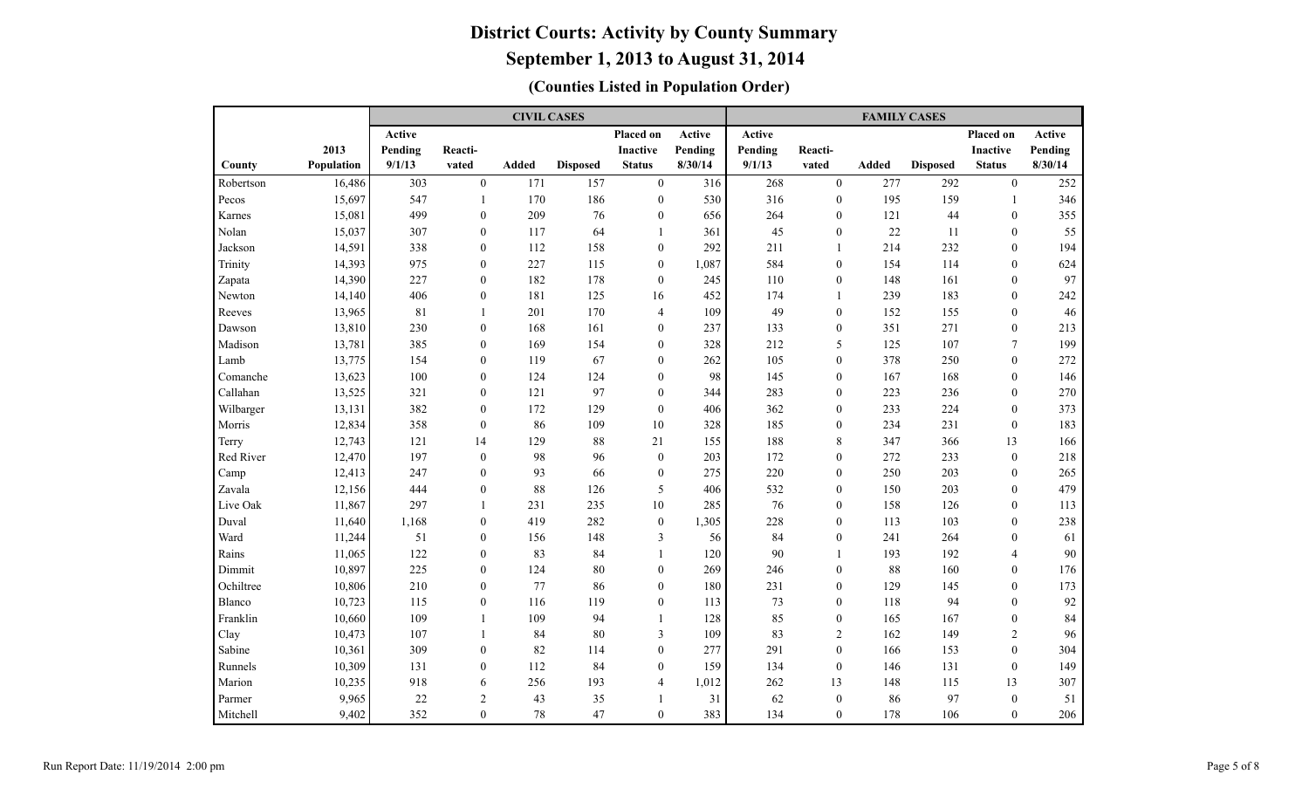|           |            |               |                  | <b>CIVIL CASES</b> |                 |                  |         |         |                  | <b>FAMILY CASES</b> |                 |                 |               |
|-----------|------------|---------------|------------------|--------------------|-----------------|------------------|---------|---------|------------------|---------------------|-----------------|-----------------|---------------|
|           |            | <b>Active</b> |                  |                    |                 | Placed on        | Active  | Active  |                  |                     |                 | Placed on       | <b>Active</b> |
|           | 2013       | Pending       | Reacti-          |                    |                 | <b>Inactive</b>  | Pending | Pending | Reacti-          |                     |                 | <b>Inactive</b> | Pending       |
| County    | Population | 9/1/13        | vated            | <b>Added</b>       | <b>Disposed</b> | <b>Status</b>    | 8/30/14 | 9/1/13  | vated            | <b>Added</b>        | <b>Disposed</b> | <b>Status</b>   | 8/30/14       |
| Robertson | 16,486     | 303           | $\boldsymbol{0}$ | 171                | 157             | $\boldsymbol{0}$ | 316     | 268     | $\boldsymbol{0}$ | 277                 | 292             | $\mathbf{0}$    | 252           |
| Pecos     | 15,697     | 547           | $\mathbf{1}$     | 170                | 186             | $\boldsymbol{0}$ | 530     | 316     | $\mathbf{0}$     | 195                 | 159             | -1              | 346           |
| Karnes    | 15,081     | 499           | $\mathbf{0}$     | 209                | 76              | $\boldsymbol{0}$ | 656     | 264     | $\mathbf{0}$     | 121                 | 44              | $\mathbf{0}$    | 355           |
| Nolan     | 15,037     | 307           | $\mathbf{0}$     | 117                | 64              | 1                | 361     | 45      | $\mathbf{0}$     | $22\,$              | 11              | $\mathbf{0}$    | 55            |
| Jackson   | 14,591     | 338           | $\overline{0}$   | 112                | 158             | $\boldsymbol{0}$ | 292     | 211     | $\mathbf{1}$     | 214                 | 232             | $\theta$        | 194           |
| Trinity   | 14,393     | 975           | $\mathbf{0}$     | 227                | 115             | $\mathbf{0}$     | 1,087   | 584     | $\theta$         | 154                 | 114             | $\theta$        | 624           |
| Zapata    | 14,390     | 227           | $\mathbf{0}$     | 182                | 178             | $\mathbf{0}$     | 245     | 110     | $\mathbf{0}$     | 148                 | 161             | $\theta$        | 97            |
| Newton    | 14,140     | 406           | $\mathbf{0}$     | 181                | 125             | 16               | 452     | 174     | $\mathbf{1}$     | 239                 | 183             | $\mathbf{0}$    | 242           |
| Reeves    | 13,965     | 81            | 1                | 201                | 170             | 4                | 109     | 49      | $\mathbf{0}$     | 152                 | 155             | $\mathbf{0}$    | 46            |
| Dawson    | 13,810     | 230           | $\mathbf{0}$     | 168                | 161             | $\boldsymbol{0}$ | 237     | 133     | $\mathbf{0}$     | 351                 | 271             | $\mathbf{0}$    | 213           |
| Madison   | 13,781     | 385           | $\boldsymbol{0}$ | 169                | 154             | $\boldsymbol{0}$ | 328     | 212     | 5                | 125                 | 107             | $\overline{7}$  | 199           |
| Lamb      | 13,775     | 154           | $\boldsymbol{0}$ | 119                | 67              | 0                | 262     | 105     | $\boldsymbol{0}$ | 378                 | 250             | $\mathbf{0}$    | 272           |
| Comanche  | 13,623     | 100           | $\boldsymbol{0}$ | 124                | 124             | $\boldsymbol{0}$ | 98      | 145     | $\mathbf{0}$     | 167                 | 168             | $\mathbf{0}$    | 146           |
| Callahan  | 13,525     | 321           | $\mathbf{0}$     | 121                | 97              | $\mathbf{0}$     | 344     | 283     | $\mathbf{0}$     | 223                 | 236             | $\theta$        | 270           |
| Wilbarger | 13,131     | 382           | $\mathbf{0}$     | 172                | 129             | $\mathbf{0}$     | 406     | 362     | $\mathbf{0}$     | 233                 | 224             | $\theta$        | 373           |
| Morris    | 12,834     | 358           | $\overline{0}$   | 86                 | 109             | 10               | 328     | 185     | $\mathbf{0}$     | 234                 | 231             | $\mathbf{0}$    | 183           |
| Terry     | 12,743     | 121           | 14               | 129                | 88              | 21               | 155     | 188     | $\,$ 8 $\,$      | 347                 | 366             | 13              | 166           |
| Red River | 12,470     | 197           | $\mathbf{0}$     | 98                 | 96              | $\boldsymbol{0}$ | 203     | 172     | $\mathbf{0}$     | 272                 | 233             | $\theta$        | 218           |
| Camp      | 12,413     | 247           | $\theta$         | 93                 | 66              | $\mathbf{0}$     | 275     | 220     | $\mathbf{0}$     | 250                 | 203             | $\theta$        | 265           |
| Zavala    | 12,156     | 444           | $\overline{0}$   | 88                 | 126             | 5                | 406     | 532     | $\theta$         | 150                 | 203             | $\theta$        | 479           |
| Live Oak  | 11,867     | 297           | $\mathbf{1}$     | 231                | 235             | 10               | 285     | 76      | $\theta$         | 158                 | 126             | $\theta$        | 113           |
| Duval     | 11,640     | 1,168         | $\theta$         | 419                | 282             | $\boldsymbol{0}$ | 1,305   | 228     | $\theta$         | 113                 | 103             | $\theta$        | 238           |
| Ward      | 11,244     | 51            | $\boldsymbol{0}$ | 156                | 148             | 3                | 56      | 84      | $\mathbf{0}$     | 241                 | 264             | $\mathbf{0}$    | 61            |
| Rains     | 11,065     | 122           | $\boldsymbol{0}$ | 83                 | 84              | $\mathbf{1}$     | 120     | 90      | $\mathbf{1}$     | 193                 | 192             | $\overline{4}$  | 90            |
| Dimmit    | 10,897     | 225           | $\boldsymbol{0}$ | 124                | 80              | $\boldsymbol{0}$ | 269     | 246     | $\boldsymbol{0}$ | 88                  | 160             | $\mathbf{0}$    | 176           |
| Ochiltree | 10,806     | 210           | $\boldsymbol{0}$ | 77                 | 86              | $\boldsymbol{0}$ | 180     | 231     | $\mathbf{0}$     | 129                 | 145             | $\mathbf{0}$    | 173           |
| Blanco    | 10,723     | 115           | $\boldsymbol{0}$ | 116                | 119             | $\boldsymbol{0}$ | 113     | 73      | $\mathbf{0}$     | 118                 | 94              | $\mathbf{0}$    | 92            |
| Franklin  | 10,660     | 109           | $\mathbf{1}$     | 109                | 94              | $\mathbf{1}$     | 128     | 85      | $\mathbf{0}$     | 165                 | 167             | $\mathbf{0}$    | 84            |
| Clay      | 10,473     | 107           | $\mathbf{1}$     | 84                 | 80              | 3                | 109     | 83      | $\overline{2}$   | 162                 | 149             | $\overline{2}$  | 96            |
| Sabine    | 10,361     | 309           | $\mathbf{0}$     | 82                 | 114             | $\mathbf{0}$     | 277     | 291     | $\theta$         | 166                 | 153             | $\theta$        | 304           |
| Runnels   | 10,309     | 131           | $\mathbf{0}$     | 112                | 84              | $\mathbf{0}$     | 159     | 134     | $\theta$         | 146                 | 131             | $\theta$        | 149           |
| Marion    | 10,235     | 918           | 6                | 256                | 193             | 4                | 1,012   | 262     | 13               | 148                 | 115             | 13              | 307           |
| Parmer    | 9,965      | $22\,$        | $\overline{c}$   | 43                 | 35              | 1                | 31      | 62      | $\boldsymbol{0}$ | 86                  | 97              | $\theta$        | 51            |
| Mitchell  | 9,402      | 352           | $\overline{0}$   | 78                 | 47              | $\overline{0}$   | 383     | 134     | $\mathbf{0}$     | 178                 | 106             | $\mathbf{0}$    | 206           |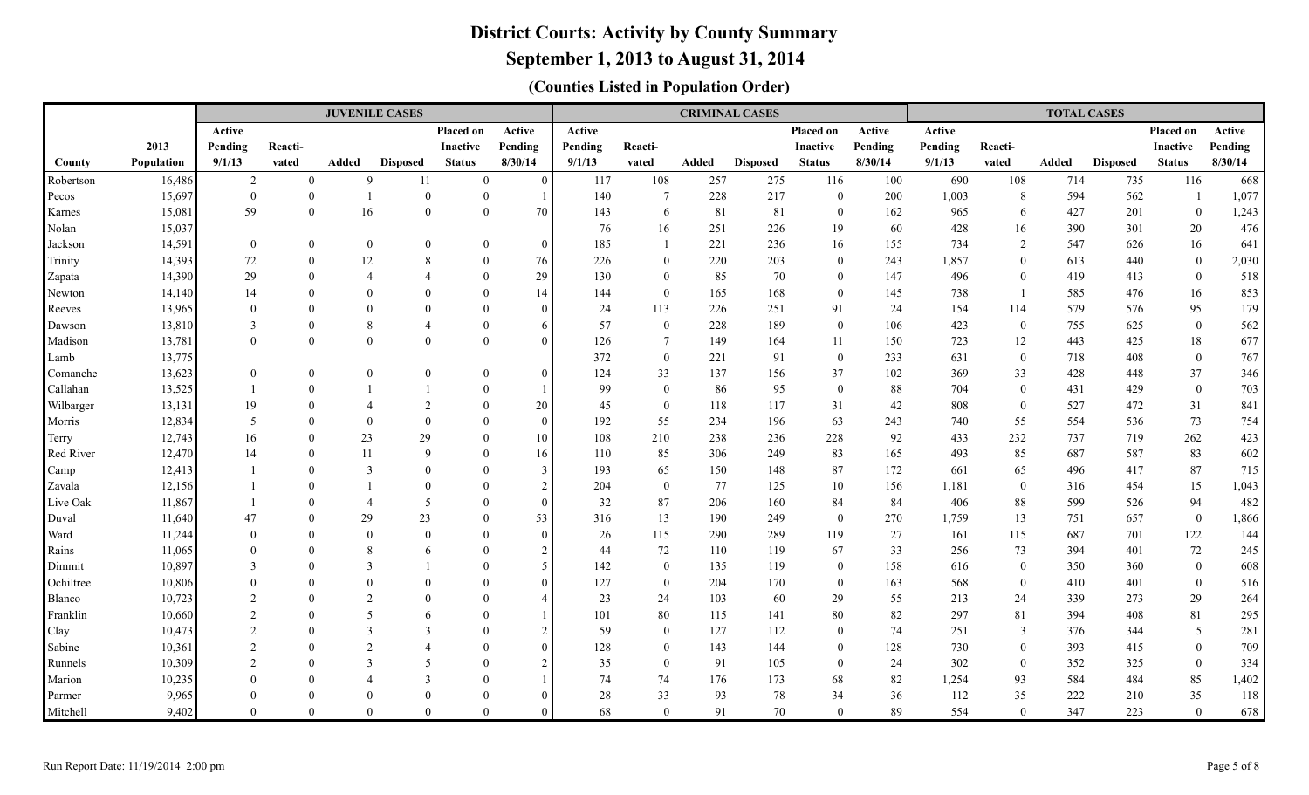### **September 1, 2013 to August 31, 2014**

|                     |                  |                             |                            | <b>JUVENILE CASES</b> |                 |                      |                     |           |                    |            | <b>CRIMINAL CASES</b> |                    |           |            |                    | <b>TOTAL CASES</b> |                 |                      |            |
|---------------------|------------------|-----------------------------|----------------------------|-----------------------|-----------------|----------------------|---------------------|-----------|--------------------|------------|-----------------------|--------------------|-----------|------------|--------------------|--------------------|-----------------|----------------------|------------|
|                     |                  | Active                      |                            |                       |                 | Placed on            | Active              | Active    |                    |            |                       | Placed on          | Active    | Active     |                    |                    |                 | Placed on            | Active     |
|                     | 2013             | Pending                     | Reacti-                    |                       |                 | <b>Inactive</b>      | Pending             | Pending   | Reacti-            |            |                       | Inactive           | Pending   | Pending    | Reacti-            |                    |                 | <b>Inactive</b>      | Pending    |
| County              | Population       | 9/1/13                      | vated                      | Added                 | <b>Disposed</b> | <b>Status</b>        | 8/30/14             | 9/1/13    | vated              | Added      | <b>Disposed</b>       | <b>Status</b>      | 8/30/14   | 9/1/13     | vated              | <b>Added</b>       | <b>Disposed</b> | <b>Status</b>        | 8/30/14    |
| Robertson           | 16,486           | $\overline{2}$              | $\mathbf{0}$               | 9                     | 11              | $\overline{0}$       | $\theta$            | 117       | 108                | 257        | 275                   | 116                | 100       | 690        | 108                | 714                | 735             | 116                  | 668        |
| Pecos               | 15,697           | $\theta$                    | $\mathbf{0}$               | $\overline{1}$        | $\overline{0}$  | $\overline{0}$       |                     | 140       | $7\phantom{.0}$    | 228        | 217                   | $\overline{0}$     | 200       | 1,003      | 8                  | 594                | 562             | - 1                  | 1,077      |
| Karnes              | 15,081           | 59                          | $\mathbf{0}$               | 16                    | $\theta$        | $\theta$             | 70                  | 143       | 6                  | 81         | 81                    | $\overline{0}$     | 162       | 965        | 6                  | 427                | 201             | $\overline{0}$       | 1,243      |
| Nolan               | 15,037           |                             |                            |                       |                 |                      |                     | 76        | 16                 | 251        | 226                   | 19                 | 60        | 428        | 16                 | 390                | 301             | 20                   | 476        |
| Jackson             | 14,591           | $\overline{0}$              | $\mathbf{0}$               | $\mathbf{0}$          | $\overline{0}$  | $\theta$             | $\Omega$            | 185       | -1                 | 221        | 236                   | 16                 | 155       | 734        | 2                  | 547                | 626             | 16                   | 641        |
| Trinity             | 14,393           | 72                          | $\mathbf{0}$               | 12                    | 8               | $\Omega$             | 76                  | 226       | $\overline{0}$     | 220        | 203                   | $\overline{0}$     | 243       | 1,857      | $\theta$           | 613                | 440             | $\overline{0}$       | 2,030      |
| Zapata              | 14,390           | 29                          | $\theta$                   | $\overline{4}$        | $\Delta$        | $\Omega$             | 29                  | 130       | $\theta$           | 85         | 70                    | $\overline{0}$     | 147       | 496        | $\theta$           | 419                | 413             | $\overline{0}$       | 518        |
| Newton              | 14,140           | 14                          | $\theta$                   | $\Omega$              | $\Omega$        | $\Omega$             | 14                  | 144       | $\overline{0}$     | 165        | 168                   | $\overline{0}$     | 145       | 738        | $\overline{1}$     | 585                | 476             | 16                   | 853        |
| Reeves              | 13,965           | $\Omega$                    | $\Omega$                   | $\Omega$              | $\Omega$        | $\Omega$             | $\Omega$            | 24        | 113                | 226        | 251                   | 91                 | 24        | 154        | 114                | 579                | 576             | 95                   | 179        |
| Dawson              | 13,810           | $\mathcal{E}$               | $\mathbf{0}$               | 8                     | $\overline{A}$  | $\Omega$             | 6                   | 57        | $\boldsymbol{0}$   | 228        | 189                   | $\mathbf{0}$       | 106       | 423        | $\boldsymbol{0}$   | 755                | 625             | $\mathbf{0}$         | 562        |
| Madison             | 13,781           | $\Omega$                    | $\mathbf{0}$               | $\mathbf{0}$          | $\Omega$        | $\Omega$             | $\Omega$            | 126       | 7                  | 149        | 164                   | 11                 | 150       | 723        | 12                 | 443                | 425             | 18                   | 677        |
| Lamb                | 13,775           |                             |                            |                       |                 |                      |                     | 372       | $\mathbf{0}$       | 221        | 91                    | $\mathbf{0}$       | 233       | 631        | $\boldsymbol{0}$   | 718                | 408             | $\mathbf{0}$         | 767        |
| Comanche            | 13,623           | $\overline{0}$              | $\mathbf{0}$               | $\theta$              | $\theta$        | $\Omega$             | $\Omega$            | 124       | 33                 | 137        | 156                   | 37                 | 102       | 369        | 33                 | 428                | 448             | 37                   | 346        |
| Callahan            | 13,525           | $\overline{1}$              | $\mathbf{0}$               |                       |                 | $\Omega$             |                     | 99        | $\overline{0}$     | 86         | 95                    | $\mathbf{0}$       | 88        | 704        | $\overline{0}$     | 431                | 429             | $\mathbf{0}$         | 703        |
| Wilbarger           | 13,131           | 19                          | $\theta$                   | $\overline{4}$        | $\overline{2}$  | $\Omega$             | $20\,$              | 45        | $\overline{0}$     | 118        | 117                   | 31                 | 42        | 808        | $\mathbf{0}$       | 527                | 472             | 31                   | 841        |
| Morris              | 12,834           | 5                           | $\theta$                   | $\theta$              | $\Omega$        | $\Omega$             | $\Omega$            | 192       | 55                 | 234        | 196                   | 63                 | 243       | 740        | 55                 | 554                | 536             | 73                   | 754        |
| Terry               | 12,743           | 16                          | $\mathbf{0}$               | 23                    | 29              | $\Omega$             | 10                  | 108       | 210                | 238        | 236                   | 228                | 92        | 433        | 232                | 737                | 719             | 262                  | 423        |
| Red River           | 12,470           | 14                          | $\mathbf{0}$               | 11                    | $\mathbf Q$     | $\Omega$             | 16                  | 110       | 85                 | 306        | 249                   | 83                 | 165       | 493        | 85                 | 687                | 587             | 83                   | 602        |
| Camp                | 12,413           |                             | $\theta$                   | $\overline{3}$        | $\Omega$        | $\Omega$             | 3                   | 193       | 65                 | 150        | 148                   | 87                 | 172       | 661        | 65                 | 496                | 417             | 87                   | 715        |
| Zavala              | 12,156           |                             | $\theta$                   |                       | $\Omega$        | $\Omega$             | 2                   | 204       | $\overline{0}$     | 77         | 125                   | 10                 | 156       | 1,181      | $\boldsymbol{0}$   | 316                | 454             | 15                   | 1,043      |
| Live Oak            | 11,867           | $\mathbf{1}$                | $\theta$                   | $\overline{4}$        | 5               | $\Omega$             | $\Omega$            | 32        | 87                 | 206        | 160                   | 84                 | 84        | 406        | 88                 | 599                | 526             | 94                   | 482        |
| Duval               | 11,640           | 47                          | $\theta$                   | 29<br>$\Omega$        | 23<br>$\Omega$  | $\Omega$             | 53<br>$\Omega$      | 316       | 13                 | 190        | 249<br>289            | $\mathbf{0}$       | 270       | 1,759      | 13                 | 751                | 657             | $\overline{0}$       | 1,866      |
| Ward                | 11,244           | $\Omega$                    | $\overline{0}$<br>$\Omega$ | 8                     |                 | $\Omega$<br>$\Omega$ |                     | 26        | 115                | 290<br>110 | 119                   | 119                | 27        | 161<br>256 | 115                | 687<br>394         | 701             | 122                  | 144<br>245 |
| Rains               | 11,065<br>10,897 | 3                           | $\Omega$                   | 3                     | 6               | $\Omega$             | 2<br>$\overline{5}$ | 44<br>142 | 72<br>$\mathbf{0}$ | 135        | 119                   | 67<br>$\mathbf{0}$ | 33<br>158 | 616        | 73<br>$\mathbf{0}$ | 350                | 401<br>360      | 72<br>$\overline{0}$ | 608        |
| Dimmit<br>Ochiltree | 10,806           |                             | $\theta$                   | $\Omega$              | $\Omega$        | $\Omega$             | $\Omega$            | 127       | $\mathbf{0}$       | 204        | 170                   | $\mathbf{0}$       | 163       | 568        | $\mathbf{0}$       | 410                | 401             | $\bf{0}$             | 516        |
| Blanco              | 10,723           | $\mathcal{D}_{\mathcal{L}}$ | $\Omega$                   | $\overline{2}$        | $\Omega$        | $\Omega$             | $\overline{4}$      | 23        | 24                 | 103        | 60                    | 29                 | 55        | 213        | 24                 | 339                | 273             | 29                   | 264        |
| Franklin            | 10,660           | $\mathcal{D}$               | $\Omega$                   | 5                     | 6               | $\Omega$             |                     | 101       | 80                 | 115        | 141                   | $80\,$             | 82        | 297        | 81                 | 394                | 408             | 81                   | 295        |
| Clay                | 10,473           | $\mathcal{D}$               | $\theta$                   | 3                     | 3               | $\Omega$             | $\overline{2}$      | 59        | $\overline{0}$     | 127        | 112                   | $\mathbf{0}$       | 74        | 251        | 3                  | 376                | 344             | $\overline{5}$       | 281        |
| Sabine              | 10,361           | $\mathcal{D}$               | $\Omega$                   | $\mathcal{D}$         |                 | $\Omega$             |                     | 128       | $\theta$           | 143        | 144                   | $\mathbf{0}$       | 128       | 730        | $\mathbf{0}$       | 393                | 415             | $\overline{0}$       | 709        |
| Runnels             | 10,309           | $\mathcal{D}$               | $\Omega$                   | $\mathcal{E}$         | 5               | $\Omega$             | $\mathcal{D}$       | 35        | $\theta$           | 91         | 105                   | $\overline{0}$     | 24        | 302        | $\mathbf{0}$       | 352                | 325             | $\overline{0}$       | 334        |
| Marion              | 10,235           |                             | $\theta$                   | $\overline{A}$        | 3               | $\Omega$             |                     | 74        | 74                 | 176        | 173                   | 68                 | 82        | 1,254      | 93                 | 584                | 484             | 85                   | 1,402      |
| Parmer              | 9,965            |                             | $\Omega$                   | $\Omega$              | $\Omega$        | $\Omega$             |                     | 28        | 33                 | 93         | 78                    | 34                 | 36        | 112        | 35                 | 222                | 210             | 35                   | 118        |
| Mitchell            | 9,402            | $\Omega$                    | $\Omega$                   | $\Omega$              | $\Omega$        | $\Omega$             |                     | 68        | $\theta$           | 91         | 70                    | $\Omega$           | 89        | 554        | $\Omega$           | 347                | 223             | $\theta$             | 678        |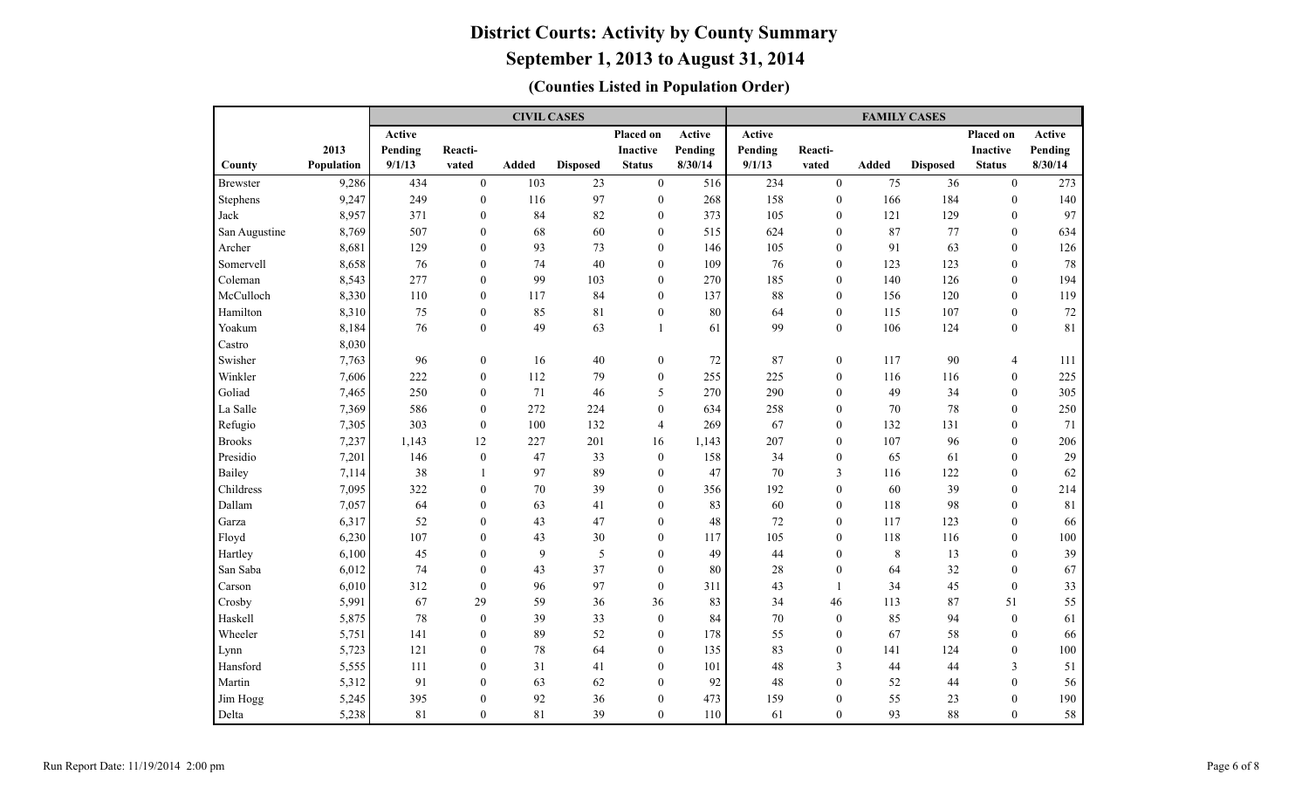|                 |            |         |                  | <b>CIVIL CASES</b> |                 |                  |               |         |                  | <b>FAMILY CASES</b> |                 |                  |         |
|-----------------|------------|---------|------------------|--------------------|-----------------|------------------|---------------|---------|------------------|---------------------|-----------------|------------------|---------|
|                 |            | Active  |                  |                    |                 | <b>Placed on</b> | <b>Active</b> | Active  |                  |                     |                 | Placed on        | Active  |
|                 | 2013       | Pending | Reacti-          |                    |                 | <b>Inactive</b>  | Pending       | Pending | Reacti-          |                     |                 | <b>Inactive</b>  | Pending |
| County          | Population | 9/1/13  | vated            | <b>Added</b>       | <b>Disposed</b> | <b>Status</b>    | 8/30/14       | 9/1/13  | vated            | <b>Added</b>        | <b>Disposed</b> | <b>Status</b>    | 8/30/14 |
| <b>Brewster</b> | 9,286      | 434     | $\mathbf{0}$     | 103                | 23              | $\boldsymbol{0}$ | 516           | 234     | $\mathbf{0}$     | 75                  | 36              | $\mathbf{0}$     | 273     |
| Stephens        | 9,247      | 249     | $\mathbf{0}$     | 116                | 97              | $\boldsymbol{0}$ | 268           | 158     | $\mathbf{0}$     | 166                 | 184             | $\mathbf{0}$     | 140     |
| Jack            | 8,957      | 371     | $\theta$         | 84                 | 82              | $\boldsymbol{0}$ | 373           | 105     | $\mathbf{0}$     | 121                 | 129             | $\mathbf{0}$     | 97      |
| San Augustine   | 8,769      | 507     | $\theta$         | 68                 | 60              | $\mathbf{0}$     | 515           | 624     | $\mathbf{0}$     | 87                  | 77              | $\mathbf{0}$     | 634     |
| Archer          | 8,681      | 129     | $\theta$         | 93                 | 73              | $\mathbf{0}$     | 146           | 105     | $\theta$         | 91                  | 63              | $\theta$         | 126     |
| Somervell       | 8,658      | 76      | $\mathbf{0}$     | 74                 | 40              | $\boldsymbol{0}$ | 109           | 76      | $\mathbf{0}$     | 123                 | 123             | $\mathbf{0}$     | 78      |
| Coleman         | 8,543      | 277     | $\mathbf{0}$     | 99                 | 103             | $\boldsymbol{0}$ | 270           | 185     | $\mathbf{0}$     | 140                 | 126             | $\mathbf{0}$     | 194     |
| McCulloch       | 8,330      | 110     | $\mathbf{0}$     | 117                | 84              | $\boldsymbol{0}$ | 137           | 88      | $\mathbf{0}$     | 156                 | 120             | $\mathbf{0}$     | 119     |
| Hamilton        | 8,310      | 75      | $\mathbf{0}$     | 85                 | 81              | $\boldsymbol{0}$ | 80            | 64      | $\mathbf{0}$     | 115                 | 107             | $\mathbf{0}$     | 72      |
| Yoakum          | 8,184      | 76      | $\mathbf{0}$     | 49                 | 63              | 1                | 61            | 99      | $\mathbf{0}$     | 106                 | 124             | $\mathbf{0}$     | 81      |
| Castro          | 8,030      |         |                  |                    |                 |                  |               |         |                  |                     |                 |                  |         |
| Swisher         | 7,763      | 96      | $\mathbf{0}$     | 16                 | $40\,$          | $\boldsymbol{0}$ | 72            | 87      | $\mathbf{0}$     | 117                 | 90              | $\overline{4}$   | 111     |
| Winkler         | 7,606      | 222     | $\boldsymbol{0}$ | 112                | 79              | $\boldsymbol{0}$ | 255           | 225     | $\boldsymbol{0}$ | 116                 | 116             | $\boldsymbol{0}$ | 225     |
| Goliad          | 7,465      | 250     | $\mathbf{0}$     | 71                 | 46              | 5                | 270           | 290     | $\mathbf{0}$     | 49                  | 34              | $\mathbf{0}$     | 305     |
| La Salle        | 7,369      | 586     | $\mathbf{0}$     | 272                | 224             | $\mathbf{0}$     | 634           | 258     | $\mathbf{0}$     | 70                  | 78              | $\mathbf{0}$     | 250     |
| Refugio         | 7,305      | 303     | $\mathbf{0}$     | 100                | 132             | $\overline{4}$   | 269           | 67      | $\mathbf{0}$     | 132                 | 131             | $\theta$         | 71      |
| <b>Brooks</b>   | 7,237      | 1,143   | 12               | 227                | 201             | 16               | 1,143         | 207     | $\mathbf{0}$     | 107                 | 96              | $\theta$         | 206     |
| Presidio        | 7,201      | 146     | $\mathbf{0}$     | 47                 | 33              | $\mathbf{0}$     | 158           | 34      | $\mathbf{0}$     | 65                  | 61              | $\theta$         | 29      |
| Bailey          | 7,114      | 38      | $\mathbf{1}$     | 97                 | 89              | $\mathbf{0}$     | 47            | 70      | 3                | 116                 | 122             | $\theta$         | 62      |
| Childress       | 7,095      | 322     | $\overline{0}$   | 70                 | 39              | $\boldsymbol{0}$ | 356           | 192     | $\mathbf{0}$     | 60                  | 39              | $\mathbf{0}$     | 214     |
| Dallam          | 7,057      | 64      | $\overline{0}$   | 63                 | 41              | $\mathbf{0}$     | 83            | 60      | $\mathbf{0}$     | 118                 | 98              | $\theta$         | 81      |
| Garza           | 6,317      | 52      | $\mathbf{0}$     | 43                 | 47              | $\mathbf{0}$     | 48            | 72      | $\mathbf{0}$     | 117                 | 123             | $\mathbf{0}$     | 66      |
| Floyd           | 6,230      | 107     | $\mathbf{0}$     | 43                 | 30              | $\boldsymbol{0}$ | 117           | 105     | $\mathbf{0}$     | 118                 | 116             | $\mathbf{0}$     | 100     |
| Hartley         | 6,100      | 45      | $\mathbf{0}$     | 9                  | 5               | $\boldsymbol{0}$ | 49            | 44      | $\mathbf{0}$     | $\,8\,$             | 13              | $\mathbf{0}$     | 39      |
| San Saba        | 6,012      | 74      | $\mathbf{0}$     | 43                 | 37              | $\boldsymbol{0}$ | 80            | 28      | $\mathbf{0}$     | 64                  | 32              | $\mathbf{0}$     | 67      |
| Carson          | 6,010      | 312     | $\mathbf{0}$     | 96                 | 97              | $\mathbf{0}$     | 311           | 43      | $\overline{1}$   | 34                  | 45              | $\mathbf{0}$     | 33      |
| Crosby          | 5,991      | 67      | 29               | 59                 | 36              | 36               | 83            | 34      | 46               | 113                 | 87              | 51               | 55      |
| Haskell         | 5,875      | $78\,$  | $\boldsymbol{0}$ | 39                 | 33              | $\boldsymbol{0}$ | 84            | 70      | $\boldsymbol{0}$ | 85                  | 94              | $\boldsymbol{0}$ | 61      |
| Wheeler         | 5,751      | 141     | $\mathbf{0}$     | 89                 | 52              | $\boldsymbol{0}$ | 178           | 55      | $\mathbf{0}$     | 67                  | 58              | $\mathbf{0}$     | 66      |
| Lynn            | 5,723      | 121     | $\mathbf{0}$     | 78                 | 64              | $\boldsymbol{0}$ | 135           | 83      | $\mathbf{0}$     | 141                 | 124             | $\mathbf{0}$     | 100     |
| Hansford        | 5,555      | 111     | $\overline{0}$   | 31                 | 41              | $\mathbf{0}$     | 101           | 48      | $\mathfrak{Z}$   | 44                  | 44              | $\mathfrak{Z}$   | 51      |
| Martin          | 5,312      | 91      | $\theta$         | 63                 | 62              | $\boldsymbol{0}$ | 92            | 48      | $\mathbf{0}$     | 52                  | 44              | $\mathbf{0}$     | 56      |
| Jim Hogg        | 5,245      | 395     | $\theta$         | 92                 | 36              | $\mathbf{0}$     | 473           | 159     | $\mathbf{0}$     | 55                  | 23              | $\mathbf{0}$     | 190     |
| Delta           | 5,238      | 81      | $\theta$         | 81                 | 39              | $\theta$         | 110           | 61      | $\Omega$         | 93                  | 88              | $\Omega$         | 58      |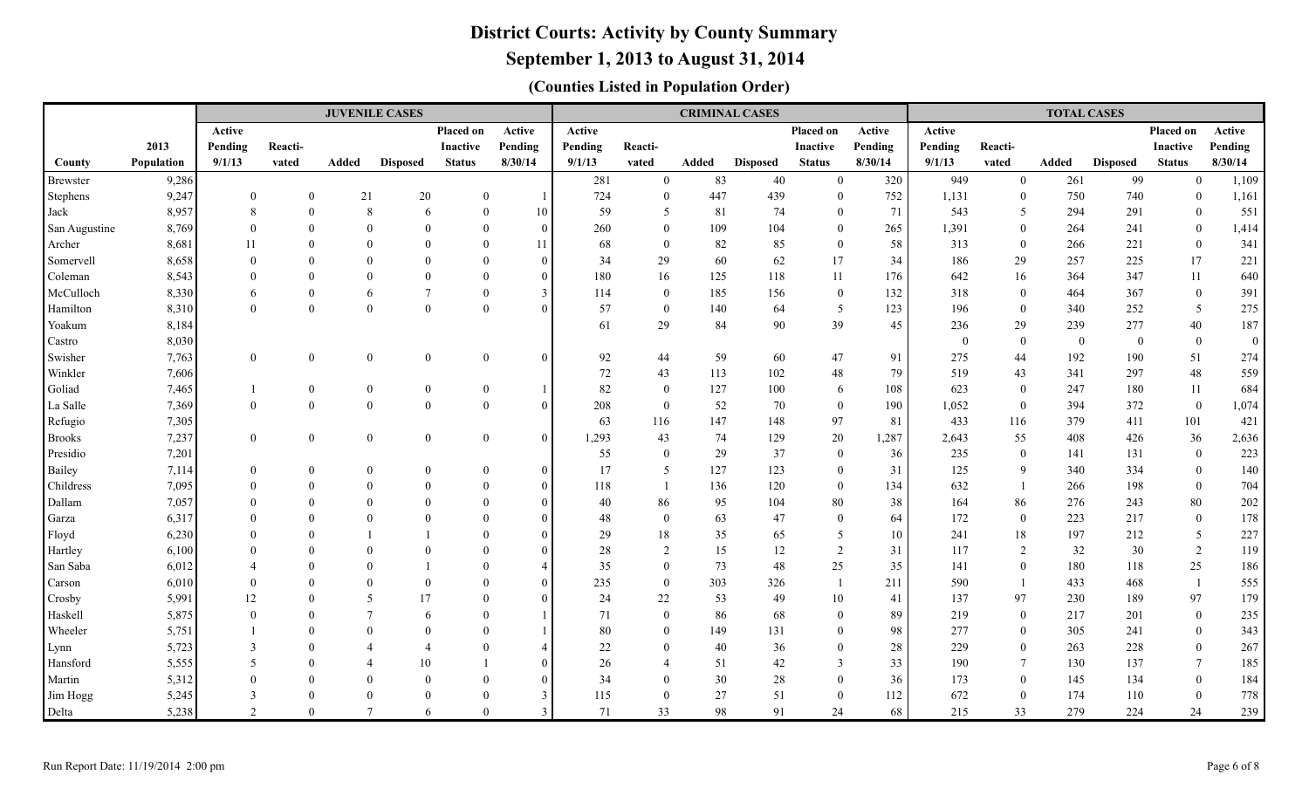### **September 1, 2013 to August 31, 2014**

|                   |                |                                 |                              | <b>JUVENILE CASES</b>      |                 |                      |                            |           |                                |          | <b>CRIMINAL CASES</b> |                        |           |                |                              | <b>TOTAL CASES</b> |                 |                      |                |
|-------------------|----------------|---------------------------------|------------------------------|----------------------------|-----------------|----------------------|----------------------------|-----------|--------------------------------|----------|-----------------------|------------------------|-----------|----------------|------------------------------|--------------------|-----------------|----------------------|----------------|
|                   |                | Active                          |                              |                            |                 | Placed on            | Active                     | Active    |                                |          |                       | Placed on              | Active    | Active         |                              |                    |                 | Placed on            | Active         |
|                   | 2013           | Pending                         | Reacti-                      |                            |                 | Inactive             | Pending                    | Pending   | Reacti-                        |          |                       | Inactive               | Pending   | Pending        | Reacti-                      |                    |                 | <b>Inactive</b>      | Pending        |
| County            | Population     | 9/1/13                          | vated                        | Added                      | <b>Disposed</b> | <b>Status</b>        | 8/30/14                    | 9/1/13    | vated                          | Added    | <b>Disposed</b>       | <b>Status</b>          | 8/30/14   | 9/1/13         | vated                        | Added              | <b>Disposed</b> | <b>Status</b>        | 8/30/14        |
| <b>Brewster</b>   | 9,286          |                                 |                              |                            |                 |                      |                            | 281       | $\overline{0}$                 | 83       | 40                    | $\mathbf{0}$           | 320       | 949            | $\overline{0}$               | 261                | 99              | $\overline{0}$       | 1,109          |
| Stephens          | 9,247          | $\overline{0}$                  | $\mathbf{0}$                 | 21                         | $20\,$          | $\overline{0}$       | $\overline{1}$             | 724       | $\overline{0}$                 | 447      | 439                   | $\mathbf{0}$           | 752       | 1,131          | $\mathbf{0}$                 | 750                | 740             | $\overline{0}$       | 1,161          |
| Jack              | 8,957          | 8                               | $\mathbf{0}$                 | 8                          | 6               | $\theta$             | 10                         | 59        | 5                              | 81       | 74                    | $\mathbf{0}$           | 71        | 543            | 5                            | 294                | 291             | $\overline{0}$       | 551            |
| San Augustine     | 8,769          | $\Omega$                        | $\mathbf{0}$                 | $\Omega$                   | $\Omega$        | $\theta$             | $\theta$                   | 260       | $\overline{0}$                 | 109      | 104                   | $\mathbf{0}$           | 265       | 1,391          | $\overline{0}$               | 264                | 241             | $\overline{0}$       | 1,414          |
| Archer            | 8,681          | 11                              | $\theta$                     | $\Omega$                   | $\Omega$        | $\Omega$             | 11                         | 68        | $\theta$                       | 82       | 85                    | $\theta$               | 58        | 313            | $\mathbf{0}$                 | 266                | 221             | $\overline{0}$       | 341            |
| Somervell         | 8,658          | $\Omega$                        | $\theta$                     | $\Omega$                   | $\Omega$        | $\Omega$             | $\Omega$                   | 34        | 29                             | 60       | 62                    | 17                     | 34        | 186            | 29                           | 257                | 225             | 17                   | 221            |
| Coleman           | 8,543          | $\Omega$                        | $\Omega$                     | $\Omega$                   | $\Omega$        | $\Omega$             | $\Omega$                   | 180       | 16                             | 125      | 118                   | 11                     | 176       | 642            | 16                           | 364                | 347             | 11                   | 640            |
| McCulloch         | 8,330          | 6                               | $\mathbf{0}$                 | 6                          | $\overline{7}$  | $\Omega$             | 3                          | 114       | $\overline{0}$                 | 185      | 156                   | $\mathbf{0}$           | 132       | 318            | $\mathbf{0}$                 | 464                | 367             | $\bf{0}$             | 391            |
| Hamilton          | 8,310          | $\Omega$                        | $\mathbf{0}$                 | $\mathbf{0}$               | $\theta$        | $\theta$             | $\Omega$                   | 57        | $\overline{0}$                 | 140      | 64                    | 5                      | 123       | 196            | $\mathbf{0}$                 | 340                | 252             | 5                    | 275            |
| Yoakum            | 8,184          |                                 |                              |                            |                 |                      |                            | 61        | 29                             | 84       | 90                    | 39                     | 45        | 236            | 29                           | 239                | 277             | 40                   | 187            |
| Castro            | 8,030          |                                 |                              |                            |                 |                      |                            |           |                                |          |                       |                        |           | $\overline{0}$ | $\overline{0}$               | $\overline{0}$     | $\overline{0}$  | $\overline{0}$       | $\overline{0}$ |
| Swisher           | 7,763          | $\theta$                        | $\boldsymbol{0}$             | $\mathbf{0}$               | $\overline{0}$  | $\overline{0}$       | $\theta$                   | 92        | 44                             | 59       | 60                    | 47                     | 91        | 275            | 44                           | 192                | 190             | 51                   | 274            |
| Winkler           | 7,606          |                                 |                              |                            |                 |                      |                            | 72        | 43                             | 113      | 102                   | 48                     | 79        | 519            | 43                           | 341                | 297             | 48                   | 559            |
| Goliad            | 7,465          | $\mathbf{1}$                    | $\boldsymbol{0}$             | $\boldsymbol{0}$           | $\mathbf{0}$    | $\overline{0}$       |                            | 82        | $\overline{0}$                 | 127      | 100                   | 6                      | 108       | 623            | $\overline{0}$               | 247                | 180             | 11                   | 684            |
| La Salle          | 7,369          | $\theta$                        | $\boldsymbol{0}$             | $\mathbf{0}$               | $\overline{0}$  | $\theta$             | $\theta$                   | 208       | $\overline{0}$                 | 52       | 70                    | $\mathbf{0}$           | 190       | 1,052          | $\overline{0}$               | 394                | 372             | $\mathbf{0}$         | 1,074          |
| Refugio           | 7,305          |                                 |                              |                            |                 |                      |                            | 63        | 116                            | 147      | 148                   | 97                     | 81        | 433            | 116                          | 379                | 411             | 101                  | 421            |
| <b>Brooks</b>     | 7,237          | $\theta$                        | $\boldsymbol{0}$             | $\overline{0}$             | $\overline{0}$  | $\overline{0}$       | $\theta$                   | 1,293     | 43                             | 74       | 129                   | 20                     | 1,287     | 2,643          | 55                           | 408                | 426             | 36                   | 2,636          |
| Presidio          | 7,201          |                                 |                              |                            |                 |                      |                            | 55        | $\overline{0}$                 | 29       | 37                    | $\mathbf{0}$           | 36        | 235            | $\overline{0}$               | 141                | 131             | $\overline{0}$       | 223            |
| Bailey            | 7,114          | $\theta$                        | $\mathbf{0}$                 | $\mathbf{0}$               | $\Omega$        | $\theta$             | $\theta$                   | 17        | 5                              | 127      | 123                   | $\theta$               | 31        | 125            | 9                            | 340                | 334             | $\overline{0}$       | 140            |
| Childress         | 7,095          | $\Omega$                        | $\mathbf{0}$                 | $\overline{0}$             | $\theta$        | $\overline{0}$       | $\theta$                   | 118       | -1                             | 136      | 120                   | $\overline{0}$         | 134       | 632            | $\mathbf{1}$                 | 266                | 198             | $\overline{0}$       | 704            |
| Dallam            | 7,057          | $\Omega$                        | $\Omega$                     | $\Omega$                   | $\Omega$        | $\Omega$             | $\Omega$                   | 40        | 86                             | 95       | 104                   | $80\,$                 | 38        | 164            | 86                           | 276                | 243             | 80                   | 202            |
| Garza             | 6,317          | $\Omega$                        | $\Omega$                     | $\Omega$                   | $\Omega$        | $\Omega$             | $\Omega$                   | 48        | $\overline{0}$                 | 63       | 47                    | $\theta$               | 64        | 172            | $\overline{0}$               | 223                | 217             | $\mathbf{0}$         | 178            |
| Floyd             | 6,230          | $\Omega$                        | $\Omega$                     |                            |                 | $\Omega$             | $\Omega$                   | 29        | 18                             | 35       | 65                    | 5                      | 10        | 241            | 18                           | 197                | 212             | 5                    | 227            |
| Hartley           | 6,100          |                                 | $\Omega$                     | $\Omega$                   | $\Omega$        | $\Omega$             | $\Omega$                   | 28        | $\overline{2}$                 | 15       | 12                    | 2                      | 31        | 117            | 2                            | 32                 | 30              | 2                    | 119            |
| San Saba          | 6,012          | $\Omega$                        | $\Omega$<br>$\Omega$         | $\Omega$<br>$\Omega$       | $\Omega$        | $\Omega$<br>$\Omega$ | $\overline{4}$<br>$\Omega$ | 35        | $\overline{0}$                 | 73       | 48                    | 25                     | 35        | 141            | $\mathbf{0}$                 | 180                | 118             | 25                   | 186            |
| Carson            | 6,010          |                                 |                              | 5                          |                 | $\Omega$             |                            | 235       | $\overline{0}$                 | 303      | 326<br>49             |                        | 211       | 590<br>137     | $\overline{1}$<br>97         | 433                | 468<br>189      | -1<br>97             | 555<br>179     |
| Crosby<br>Haskell | 5,991<br>5,875 | 12<br>$\Omega$                  | $\boldsymbol{0}$<br>$\theta$ | $\overline{7}$             | 17              | $\theta$             | $\overline{0}$             | 24<br>71  | $22\,$                         | 53<br>86 | 68                    | $10\,$<br>$\mathbf{0}$ | 41        | 219            |                              | 230<br>217         | 201             | $\boldsymbol{0}$     | 235            |
| Wheeler           |                |                                 | $\theta$                     | $\Omega$                   | 6<br>$\Omega$   | $\Omega$             |                            | 80        | $\mathbf{0}$<br>$\overline{0}$ | 149      | 131                   | $\mathbf{0}$           | 89        | 277            | $\mathbf{0}$<br>$\mathbf{0}$ | 305                | 241             | $\mathbf{0}$         | 343            |
|                   | 5,751<br>5,723 | 3                               | $\theta$                     | $\boldsymbol{\varDelta}$   | $\overline{4}$  | $\Omega$             | 4                          | 22        | $\overline{0}$                 | 40       | 36                    | $\theta$               | 98<br>28  | 229            | $\overline{0}$               | 263                | 228             | $\overline{0}$       | 267            |
| Lynn<br>Hansford  | 5,555          | -5                              | $\Omega$                     |                            | 10              |                      | $\Omega$                   | 26        | $\overline{4}$                 | 51       | 42                    | 3                      | 33        | 190            | $7\phantom{.0}$              | 130                | 137             | $7\phantom{.0}$      | 185            |
| Martin            | 5,312          |                                 | $\Omega$                     | $\Omega$                   | $\Omega$        | $\Omega$             | $\Omega$                   | 34        | $\theta$                       | 30       | 28                    | $\theta$               | 36        | 173            | $\overline{0}$               | 145                | 134             | $\overline{0}$       | 184            |
|                   |                |                                 |                              |                            |                 |                      |                            |           |                                |          |                       |                        |           |                |                              |                    |                 |                      |                |
|                   |                |                                 |                              |                            |                 |                      |                            |           |                                |          |                       |                        |           |                |                              |                    |                 |                      |                |
| Jim Hogg<br>Delta | 5,245<br>5,238 | $\mathcal{E}$<br>$\mathfrak{D}$ | $\Omega$<br>$\Omega$         | $\Omega$<br>$\overline{7}$ | $\Omega$<br>6   | $\Omega$<br>$\theta$ | $\mathcal{F}$              | 115<br>71 | $\theta$<br>33                 | 27<br>98 | 51<br>91              | $\theta$<br>24         | 112<br>68 | 672<br>215     | $\overline{0}$<br>33         | 174<br>279         | 110<br>224      | $\overline{0}$<br>24 | 778<br>239     |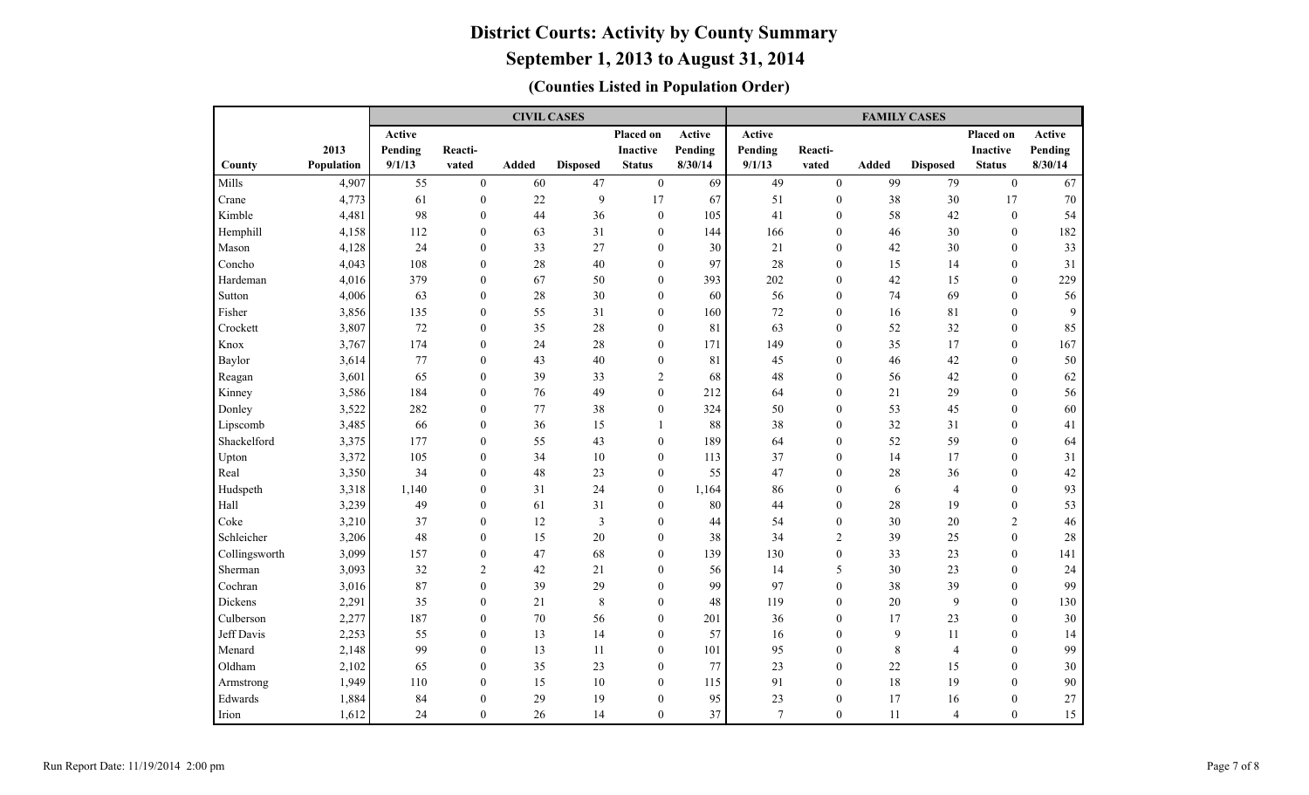|               |            |         |                  | <b>CIVIL CASES</b> |                 |                  |         | <b>FAMILY CASES</b> |                  |             |                 |                  |         |  |  |  |  |
|---------------|------------|---------|------------------|--------------------|-----------------|------------------|---------|---------------------|------------------|-------------|-----------------|------------------|---------|--|--|--|--|
|               |            | Active  |                  |                    |                 | Placed on        | Active  | Active              |                  |             |                 | Placed on        | Active  |  |  |  |  |
|               | 2013       | Pending | Reacti-          |                    |                 | <b>Inactive</b>  | Pending | Pending             | Reacti-          |             |                 | <b>Inactive</b>  | Pending |  |  |  |  |
| County        | Population | 9/1/13  | vated            | <b>Added</b>       | <b>Disposed</b> | <b>Status</b>    | 8/30/14 | 9/1/13              | vated            | Added       | <b>Disposed</b> | <b>Status</b>    | 8/30/14 |  |  |  |  |
| Mills         | 4,907      | 55      | $\boldsymbol{0}$ | 60                 | 47              | $\boldsymbol{0}$ | 69      | 49                  | $\theta$         | 99          | 79              | $\boldsymbol{0}$ | 67      |  |  |  |  |
| Crane         | 4,773      | 61      | $\boldsymbol{0}$ | 22                 | $\mathbf{9}$    | 17               | 67      | 51                  | $\boldsymbol{0}$ | 38          | 30              | 17               | 70      |  |  |  |  |
| Kimble        | 4,481      | 98      | $\overline{0}$   | 44                 | 36              | $\boldsymbol{0}$ | 105     | 41                  | $\mathbf{0}$     | 58          | 42              | $\boldsymbol{0}$ | 54      |  |  |  |  |
| Hemphill      | 4,158      | 112     | $\mathbf{0}$     | 63                 | 31              | $\mathbf{0}$     | 144     | 166                 | $\mathbf{0}$     | 46          | 30              | $\mathbf{0}$     | 182     |  |  |  |  |
| Mason         | 4,128      | 24      | $\mathbf{0}$     | 33                 | 27              | $\boldsymbol{0}$ | 30      | 21                  | $\mathbf{0}$     | 42          | 30              | $\mathbf{0}$     | 33      |  |  |  |  |
| Concho        | 4,043      | 108     | $\mathbf{0}$     | 28                 | 40              | $\mathbf{0}$     | 97      | 28                  | $\mathbf{0}$     | 15          | 14              | $\mathbf{0}$     | 31      |  |  |  |  |
| Hardeman      | 4,016      | 379     | $\mathbf{0}$     | 67                 | 50              | $\overline{0}$   | 393     | 202                 | $\mathbf{0}$     | 42          | 15              | $\overline{0}$   | 229     |  |  |  |  |
| Sutton        | 4,006      | 63      | $\boldsymbol{0}$ | 28                 | 30              | $\mathbf{0}$     | 60      | 56                  | $\mathbf{0}$     | 74          | 69              | $\mathbf{0}$     | 56      |  |  |  |  |
| Fisher        | 3,856      | 135     | $\boldsymbol{0}$ | 55                 | 31              | $\boldsymbol{0}$ | 160     | $72\,$              | $\mathbf{0}$     | 16          | 81              | $\mathbf{0}$     | 9       |  |  |  |  |
| Crockett      | 3,807      | 72      | $\mathbf{0}$     | 35                 | $28\,$          | $\boldsymbol{0}$ | 81      | 63                  | $\mathbf{0}$     | 52          | 32              | $\mathbf{0}$     | 85      |  |  |  |  |
| Knox          | 3,767      | 174     | $\mathbf{0}$     | 24                 | 28              | $\mathbf{0}$     | 171     | 149                 | $\mathbf{0}$     | 35          | 17              | $\mathbf{0}$     | 167     |  |  |  |  |
| Baylor        | 3,614      | 77      | $\overline{0}$   | 43                 | 40              | $\overline{0}$   | 81      | 45                  | $\mathbf{0}$     | 46          | 42              | $\mathbf{0}$     | 50      |  |  |  |  |
| Reagan        | 3,601      | 65      | $\overline{0}$   | 39                 | 33              | $\mathfrak{2}$   | 68      | 48                  | $\mathbf{0}$     | 56          | 42              | $\mathbf{0}$     | 62      |  |  |  |  |
| Kinney        | 3,586      | 184     | $\overline{0}$   | 76                 | 49              | $\mathbf{0}$     | 212     | 64                  | $\theta$         | 21          | 29              | $\theta$         | 56      |  |  |  |  |
| Donley        | 3,522      | 282     | $\theta$         | 77                 | 38              | $\mathbf{0}$     | 324     | 50                  | $\theta$         | 53          | 45              | $\theta$         | 60      |  |  |  |  |
| Lipscomb      | 3,485      | 66      | $\boldsymbol{0}$ | 36                 | 15              | 1                | 88      | 38                  | $\theta$         | 32          | 31              | $\theta$         | 41      |  |  |  |  |
| Shackelford   | 3,375      | 177     | $\overline{0}$   | 55                 | 43              | $\boldsymbol{0}$ | 189     | 64                  | $\boldsymbol{0}$ | 52          | 59              | $\mathbf{0}$     | 64      |  |  |  |  |
| Upton         | 3,372      | 105     | $\overline{0}$   | 34                 | 10              | $\mathbf{0}$     | 113     | 37                  | $\boldsymbol{0}$ | 14          | 17              | $\mathbf{0}$     | 31      |  |  |  |  |
| Real          | 3,350      | 34      | $\mathbf{0}$     | 48                 | 23              | $\mathbf{0}$     | 55      | 47                  | $\boldsymbol{0}$ | 28          | 36              | $\mathbf{0}$     | 42      |  |  |  |  |
| Hudspeth      | 3,318      | 1,140   | $\overline{0}$   | 31                 | 24              | $\mathbf{0}$     | 1,164   | 86                  | $\mathbf{0}$     | 6           | $\overline{4}$  | $\mathbf{0}$     | 93      |  |  |  |  |
| Hall          | 3,239      | 49      | $\mathbf{0}$     | 61                 | 31              | $\mathbf{0}$     | 80      | 44                  | $\mathbf{0}$     | $28\,$      | 19              | $\mathbf{0}$     | 53      |  |  |  |  |
| Coke          | 3,210      | 37      | $\mathbf{0}$     | 12                 | $\mathfrak{Z}$  | $\mathbf{0}$     | 44      | 54                  | $\mathbf{0}$     | 30          | 20              | 2                | 46      |  |  |  |  |
| Schleicher    | 3,206      | 48      | $\mathbf{0}$     | 15                 | 20              | $\mathbf{0}$     | 38      | 34                  | $\overline{2}$   | 39          | 25              | $\mathbf{0}$     | 28      |  |  |  |  |
| Collingsworth | 3,099      | 157     | $\boldsymbol{0}$ | 47                 | 68              | $\mathbf{0}$     | 139     | 130                 | $\mathbf{0}$     | 33          | 23              | $\mathbf{0}$     | 141     |  |  |  |  |
| Sherman       | 3,093      | 32      | $\overline{c}$   | 42                 | 21              | $\mathbf{0}$     | 56      | 14                  | 5                | 30          | 23              | $\mathbf{0}$     | 24      |  |  |  |  |
| Cochran       | 3,016      | 87      | $\overline{0}$   | 39                 | 29              | $\mathbf{0}$     | 99      | 97                  | $\mathbf{0}$     | 38          | 39              | $\mathbf{0}$     | 99      |  |  |  |  |
| Dickens       | 2,291      | 35      | $\boldsymbol{0}$ | 21                 | $\,8\,$         | $\mathbf{0}$     | 48      | 119                 | $\mathbf{0}$     | 20          | 9               | $\mathbf{0}$     | 130     |  |  |  |  |
| Culberson     | 2,277      | 187     | $\overline{0}$   | 70                 | 56              | $\mathbf{0}$     | 201     | 36                  | $\mathbf{0}$     | 17          | 23              | $\mathbf{0}$     | 30      |  |  |  |  |
| Jeff Davis    | 2,253      | 55      | $\overline{0}$   | 13                 | 14              | $\mathbf{0}$     | 57      | 16                  | $\mathbf{0}$     | 9           | 11              | $\mathbf{0}$     | 14      |  |  |  |  |
| Menard        | 2,148      | 99      | $\theta$         | 13                 | 11              | $\mathbf{0}$     | 101     | 95                  | $\mathbf{0}$     | $\,$ 8 $\,$ | $\overline{4}$  | $\mathbf{0}$     | 99      |  |  |  |  |
| Oldham        | 2,102      | 65      | $\theta$         | 35                 | 23              | $\boldsymbol{0}$ | 77      | 23                  | $\boldsymbol{0}$ | $22\,$      | 15              | $\boldsymbol{0}$ | $30\,$  |  |  |  |  |
| Armstrong     | 1,949      | 110     | $\mathbf{0}$     | 15                 | $10\,$          | $\boldsymbol{0}$ | 115     | 91                  | $\boldsymbol{0}$ | 18          | 19              | $\mathbf{0}$     | 90      |  |  |  |  |
| Edwards       | 1,884      | 84      | $\boldsymbol{0}$ | 29                 | 19              | $\boldsymbol{0}$ | 95      | 23                  | $\boldsymbol{0}$ | 17          | 16              | $\boldsymbol{0}$ | 27      |  |  |  |  |
| Irion         | 1,612      | 24      | $\overline{0}$   | 26                 | 14              | $\mathbf{0}$     | 37      | $\tau$              | $\mathbf{0}$     | 11          | 4               | $\mathbf{0}$     | 15      |  |  |  |  |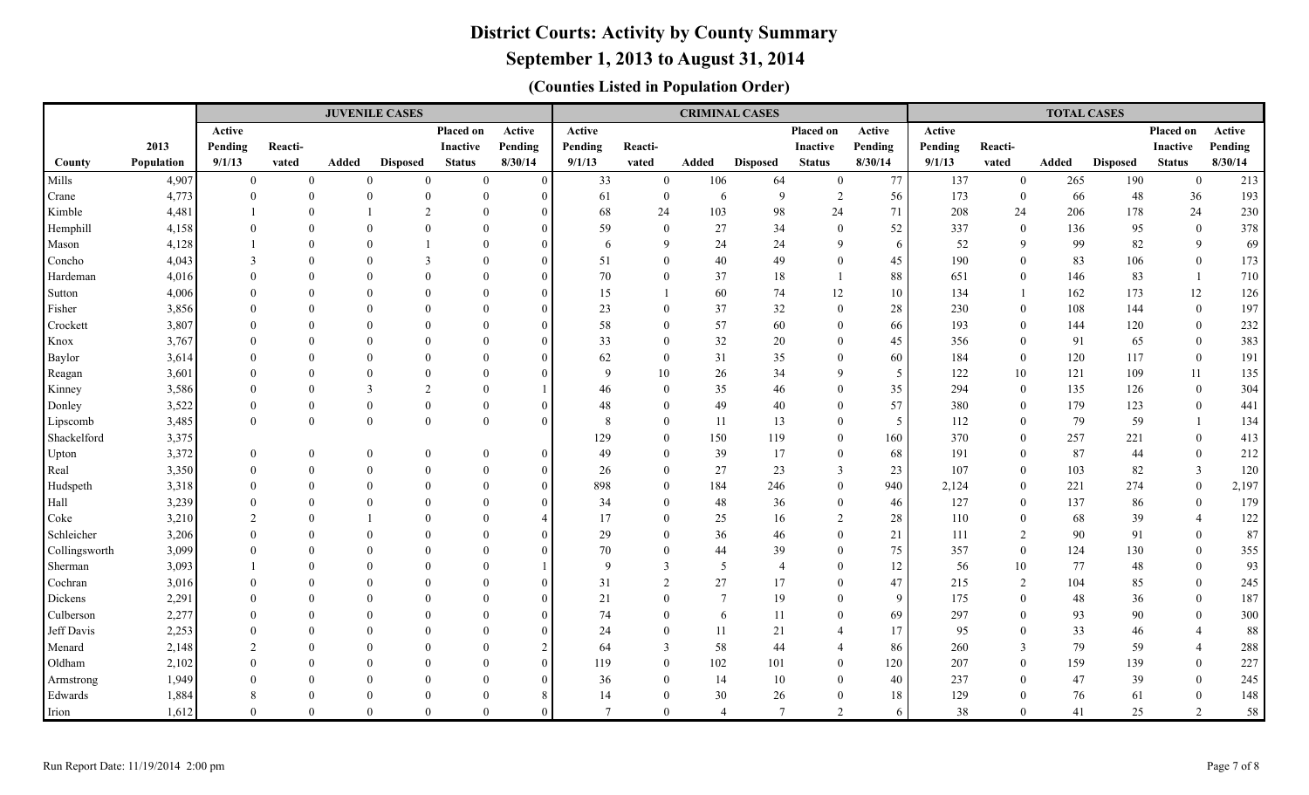### **September 1, 2013 to August 31, 2014**

|               |            |                |                | <b>JUVENILE CASES</b> |                 |                 |               |                |                |                | <b>CRIMINAL CASES</b> |                 | <b>TOTAL CASES</b> |         |                  |       |                 |                  |         |
|---------------|------------|----------------|----------------|-----------------------|-----------------|-----------------|---------------|----------------|----------------|----------------|-----------------------|-----------------|--------------------|---------|------------------|-------|-----------------|------------------|---------|
|               |            | Active         |                |                       |                 | Placed on       | Active        | Active         |                |                |                       | Placed on       | Active             | Active  |                  |       |                 | Placed on        | Active  |
|               | 2013       | Pending        | Reacti-        |                       |                 | <b>Inactive</b> | Pending       | Pending        | Reacti-        |                |                       | <b>Inactive</b> | Pending            | Pending | Reacti-          |       |                 | <b>Inactive</b>  | Pending |
| County        | Population | 9/1/13         | vated          | Added                 | <b>Disposed</b> | <b>Status</b>   | 8/30/14       | 9/1/13         | vated          | Added          | <b>Disposed</b>       | <b>Status</b>   | 8/30/14            | 9/1/13  | vated            | Added | <b>Disposed</b> | <b>Status</b>    | 8/30/14 |
| Mills         | 4,907      | $\overline{0}$ | $\overline{0}$ | $\theta$              | $\mathbf{0}$    | $\overline{0}$  | $\theta$      | 33             | $\mathbf{0}$   | 106            | 64                    | $\overline{0}$  | 77                 | 137     | $\overline{0}$   | 265   | 190             | $\overline{0}$   | 213     |
| Crane         | 4,773      | $\overline{0}$ | $\mathbf{0}$   | $\theta$              | $\theta$        | $\theta$        | $\Omega$      | 61             | $\overline{0}$ | 6              | 9                     | 2               | 56                 | 173     | $\mathbf{0}$     | 66    | 48              | 36               | 193     |
| Kimble        | 4,481      |                | $\Omega$       |                       | $\mathcal{L}$   | $\Omega$        | $\Omega$      | 68             | 24             | 103            | 98                    | 24              | 71                 | 208     | 24               | 206   | 178             | 24               | 230     |
| Hemphill      | 4,158      | $\Omega$       | $\Omega$       | $\Omega$              | $\Omega$        | $\Omega$        | $\Omega$      | 59             | $\mathbf{0}$   | 27             | 34                    | $\theta$        | 52                 | 337     | $\overline{0}$   | 136   | 95              | $\overline{0}$   | 378     |
| Mason         | 4,128      |                | $\Omega$       | $\Omega$              |                 | $\Omega$        | $\Omega$      | 6              | 9              | 24             | 24                    | $\mathbf Q$     | 6                  | 52      | 9                | 99    | 82              | 9                | 69      |
| Concho        | 4,043      | 3              | $\Omega$       | $\Omega$              | 3               | $\Omega$        | $\Omega$      | 51             | $\overline{0}$ | 40             | 49                    | $\theta$        | 45                 | 190     | $\mathbf{0}$     | 83    | 106             | $\overline{0}$   | 173     |
| Hardeman      | 4,016      | $\Omega$       | $\Omega$       | $\Omega$              | $\Omega$        | $\Omega$        | $\Omega$      | 70             | $\overline{0}$ | 37             | 18                    |                 | 88                 | 651     | $\overline{0}$   | 146   | 83              |                  | 710     |
| Sutton        | 4,006      | $\Omega$       | $\Omega$       | $\Omega$              | $\Omega$        | $\Omega$        | $\Omega$      | 15             |                | 60             | 74                    | 12              | 10                 | 134     | $\mathbf{1}$     | 162   | 173             | 12               | 126     |
| Fisher        | 3,856      | $\Omega$       | $\Omega$       | $\Omega$              | $\Omega$        | $\Omega$        | $\Omega$      | 23             | $\overline{0}$ | 37             | 32                    | $\theta$        | 28                 | 230     | $\overline{0}$   | 108   | 144             | $\overline{0}$   | 197     |
| Crockett      | 3,807      |                | $\Omega$       |                       | $\Omega$        | $\Omega$        | $\Omega$      | 58             | $\overline{0}$ | 57             | 60                    | $\theta$        | 66                 | 193     | $\overline{0}$   | 144   | 120             | $\overline{0}$   | 232     |
| Knox          | 3,767      |                | $\Omega$       | $\Omega$              | $\Omega$        | $\Omega$        | $\Omega$      | 33             | $\overline{0}$ | 32             | 20                    | $\Omega$        | 45                 | 356     | $\mathbf{0}$     | 91    | 65              | $\overline{0}$   | 383     |
| Baylor        | 3,614      | $\Omega$       | $\Omega$       | $\Omega$              | $\Omega$        | $\Omega$        | $\Omega$      | 62             | $\overline{0}$ | 31             | 35                    | $\Omega$        | 60                 | 184     | $\overline{0}$   | 120   | 117             | $\overline{0}$   | 191     |
| Reagan        | 3,601      | $\Omega$       | $\theta$       | $\Omega$              | $\Omega$        | $\Omega$        | $\Omega$      | 9              | $10\,$         | $26\,$         | 34                    | $\mathbf Q$     | $\overline{5}$     | 122     | $10\,$           | 121   | 109             | 11               | 135     |
| Kinney        | 3,586      | $\Omega$       | $\Omega$       | $\overline{3}$        | $\overline{2}$  | $\Omega$        |               | 46             | $\overline{0}$ | 35             | 46                    | $\Omega$        | 35                 | 294     | $\mathbf{0}$     | 135   | 126             | $\mathbf{0}$     | 304     |
| Donley        | 3,522      | $\Omega$       | $\Omega$       | $\mathbf{0}$          | $\theta$        | $\Omega$        | $\Omega$      | 48             | $\overline{0}$ | 49             | 40                    | $\Omega$        | 57                 | 380     | $\mathbf{0}$     | 179   | 123             | $\overline{0}$   | 441     |
| Lipscomb      | 3,485      | $\theta$       | $\mathbf{0}$   | $\theta$              | $\Omega$        | $\theta$        | $\Omega$      | 8              | $\overline{0}$ | 11             | 13                    | $\Omega$        | $5\overline{)}$    | 112     | $\mathbf{0}$     | 79    | 59              |                  | 134     |
| Shackelford   | 3,375      |                |                |                       |                 |                 |               | 129            | $\theta$       | 150            | 119                   | $\theta$        | 160                | 370     | $\mathbf{0}$     | 257   | 221             | $\mathbf{0}$     | 413     |
| Upton         | 3,372      | $\overline{0}$ | $\mathbf{0}$   | $\mathbf{0}$          | $\theta$        | $\theta$        | $\Omega$      | 49             | $\theta$       | 39             | 17                    | $\theta$        | 68                 | 191     | $\overline{0}$   | 87    | 44              | $\overline{0}$   | 212     |
| Real          | 3,350      | $\Omega$       | $\Omega$       | $\theta$              | $\Omega$        | $\theta$        | $\Omega$      | 26             | $\theta$       | 27             | 23                    | $\mathcal{E}$   | 23                 | 107     | $\overline{0}$   | 103   | 82              | 3                | 120     |
| Hudspeth      | 3,318      | $\Omega$       | $\theta$       | $\Omega$              | $\Omega$        | $\Omega$        | $\Omega$      | 898            | $\overline{0}$ | 184            | 246                   | $\overline{0}$  | 940                | 2,124   | $\boldsymbol{0}$ | 221   | 274             | $\mathbf{0}$     | 2,197   |
| Hall          | 3,239      | $\Omega$       | $\Omega$       | $\Omega$              | $\Omega$        | $\Omega$        | $\Omega$      | 34             | $\overline{0}$ | $48\,$         | 36                    | $\theta$        | 46                 | 127     | $\boldsymbol{0}$ | 137   | 86              | $\mathbf{0}$     | 179     |
| Coke          | 3,210      | $\mathfrak{D}$ | $\Omega$       |                       | $\Omega$        | $\Omega$        | $\angle$      | 17             | $\overline{0}$ | 25             | 16                    | 2               | 28                 | 110     | $\mathbf{0}$     | 68    | 39              | $\overline{4}$   | 122     |
| Schleicher    | 3,206      | $\Omega$       | $\Omega$       | $\Omega$              | $\Omega$        | $\Omega$        | $\Omega$      | 29             | $\theta$       | 36             | 46                    | $\theta$        | 21                 | 111     | 2                | 90    | 91              | $\overline{0}$   | $87\,$  |
| Collingsworth | 3,099      |                | $\Omega$       | $\Omega$              | $\Omega$        | $\Omega$        | $\Omega$      | 70             | $\theta$       | 44             | 39                    | $\Omega$        | 75                 | 357     | $\mathbf{0}$     | 124   | 130             | $\mathbf{0}$     | 355     |
| Sherman       | 3,093      |                | $\Omega$       | $\Omega$              | $\Omega$        | $\Omega$        |               | 9              | 3              | 5              | $\overline{4}$        | $\Omega$        | 12                 | 56      | 10               | 77    | 48              | $\mathbf{0}$     | 93      |
| Cochran       | 3,016      | $\Omega$       | $\Omega$       | $\Omega$              | $\Omega$        | $\Omega$        | $\Omega$      | 31             | $\overline{2}$ | 27             | 17                    | $\Omega$        | $47\,$             | 215     | $\overline{2}$   | 104   | 85              | $\mathbf{0}$     | 245     |
| Dickens       | 2,291      | $\Omega$       | $\Omega$       | $\Omega$              | $\Omega$        | $\Omega$        | $\Omega$      | 21             | $\overline{0}$ | $\overline{7}$ | 19                    | $\Omega$        | 9                  | 175     | $\mathbf{0}$     | 48    | 36              | $\overline{0}$   | 187     |
| Culberson     | 2,277      | $\Omega$       | $\Omega$       | $\theta$              | $\Omega$        | $\theta$        | $\Omega$      | 74             | $\mathbf{0}$   | 6              | 11                    | $\theta$        | 69                 | 297     | $\boldsymbol{0}$ | 93    | 90              | $\boldsymbol{0}$ | 300     |
| Jeff Davis    | 2,253      | $\Omega$       | $\Omega$       | $\Omega$              | $\Omega$        | $\Omega$        | $\Omega$      | 24             | $\overline{0}$ | 11             | 21                    | $\overline{4}$  | 17                 | 95      | $\mathbf{0}$     | 33    | 46              | $\overline{4}$   | 88      |
| Menard        | 2,148      | 2              | $\Omega$       | $\Omega$              | $\Omega$        | $\Omega$        | $\mathcal{D}$ | 64             | 3              | 58             | 44                    | $\overline{4}$  | 86                 | 260     | 3                | 79    | 59              | $\overline{4}$   | 288     |
| Oldham        | 2,102      | $\Omega$       | $\Omega$       | $\Omega$              | $\Omega$        | $\Omega$        | $\Omega$      | 119            | $\theta$       | 102            | 101                   | $\theta$        | 120                | 207     | $\overline{0}$   | 159   | 139             | $\mathbf{0}$     | 227     |
| Armstrong     | 1,949      |                | $\Omega$       | $\Omega$              | $\Omega$        | $\Omega$        | $\Omega$      | 36             | $\theta$       | 14             | 10                    | $\Omega$        | 40                 | 237     | $\overline{0}$   | 47    | 39              | $\theta$         | 245     |
| Edwards       | 1,884      | 8              | $\Omega$       | $\Omega$              | $\Omega$        | $\Omega$        |               | 14             | $\overline{0}$ | 30             | 26                    | $\Omega$        | 18                 | 129     | $\overline{0}$   | 76    | 61              | $\theta$         | 148     |
| Irion         | 1,612      | $\Omega$       | $\Omega$       | $\Omega$              | $\Omega$        | $\Omega$        | $\Omega$      | $\overline{7}$ | $\theta$       | $\overline{4}$ | $\overline{7}$        | $\mathfrak{D}$  | 6                  | 38      | $\theta$         | 41    | 25              | $\overline{2}$   | 58      |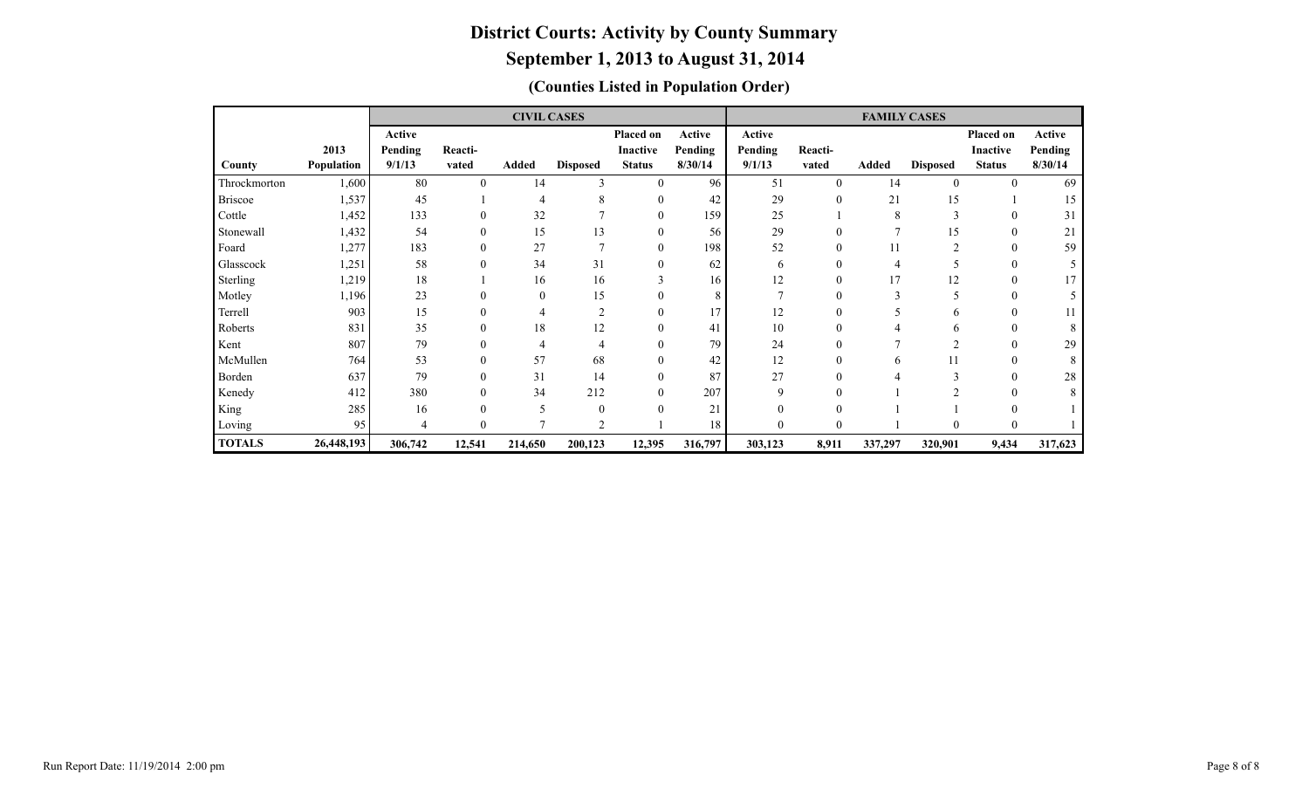|                |            |         |          | <b>CIVIL CASES</b> |                         |                  |         | <b>FAMILY CASES</b> |                  |         |                 |               |         |  |  |  |  |
|----------------|------------|---------|----------|--------------------|-------------------------|------------------|---------|---------------------|------------------|---------|-----------------|---------------|---------|--|--|--|--|
|                |            | Active  |          |                    |                         | <b>Placed on</b> | Active  | Active              |                  |         |                 | Placed on     | Active  |  |  |  |  |
|                | 2013       | Pending | Reacti-  |                    |                         | <b>Inactive</b>  | Pending | Pending             | Reacti-          |         |                 | Inactive      | Pending |  |  |  |  |
| County         | Population | 9/1/13  | vated    | Added              | <b>Disposed</b>         | <b>Status</b>    | 8/30/14 | 9/1/13              | vated            | Added   | <b>Disposed</b> | <b>Status</b> | 8/30/14 |  |  |  |  |
| Throckmorton   | 1,600      | 80      | $\theta$ | 14                 | 3                       | $\mathbf{0}$     | 96      | 51                  | $\theta$         | 14      | $\theta$        | $\theta$      | 69      |  |  |  |  |
| <b>Briscoe</b> | 1,537      | 45      |          |                    | 8                       | 0                | 42      | 29                  | $\mathbf{0}$     | 21      | 15              |               | 15      |  |  |  |  |
| Cottle         | 1,452      | 133     |          | 32                 |                         | $\Omega$         | 159     | 25                  |                  | 8       | 3               |               | 31      |  |  |  |  |
| Stonewall      | 1,432      | 54      |          | 15                 | 13                      | 0                | 56      | 29                  |                  |         | 15              | $\Omega$      | 21      |  |  |  |  |
| Foard          | 1,277      | 183     |          | 27                 | $\mathbf{r}$            | $\mathbf{0}$     | 198     | 52                  | $\boldsymbol{0}$ | 11      | $\overline{2}$  | $\theta$      | 59      |  |  |  |  |
| Glasscock      | 1,251      | 58      |          | 34                 | 31                      | 0                | 62      | 6                   | 0                |         |                 | $\Omega$      |         |  |  |  |  |
| Sterling       | 1,219      | 18      |          | 16                 | 16                      |                  | 16      | 12                  |                  | 17      | 12              |               |         |  |  |  |  |
| Motley         | 1,196      | 23      |          | $\theta$           | 15                      | 0                | 8       |                     | 0                |         |                 | $\Omega$      |         |  |  |  |  |
| Terrell        | 903        | 15      |          |                    | $\overline{\mathbf{c}}$ | $\Omega$         | 17      | 12                  |                  |         |                 |               |         |  |  |  |  |
| Roberts        | 831        | 35      |          | 18                 | 12                      | 0                | 41      | 10                  |                  |         |                 | $\Omega$      |         |  |  |  |  |
| Kent           | 807        | 79      |          |                    | $\overline{4}$          |                  | 79      | 24                  | 0                |         |                 |               | 29      |  |  |  |  |
| McMullen       | 764        | 53      |          | 57                 | 68                      | 0                | 42      | 12                  | $\theta$         | 6       | 11              | $\Omega$      |         |  |  |  |  |
| Borden         | 637        | 79      |          | 31                 | 14                      | 0                | 87      | 27                  | 0                |         |                 | $\Omega$      | 28      |  |  |  |  |
| Kenedy         | 412        | 380     |          | 34                 | 212                     | 0                | 207     | 9                   |                  |         |                 |               |         |  |  |  |  |
| King           | 285        | 16      |          | 5                  | $\theta$                | $\Omega$         | 21      |                     | 0                |         |                 |               |         |  |  |  |  |
| Loving         | 95         | 4       |          |                    | $\mathfrak{D}$          |                  | 18      | 0                   | 0                |         | O               | $\Omega$      |         |  |  |  |  |
| <b>TOTALS</b>  | 26,448,193 | 306,742 | 12,541   | 214,650            | 200,123                 | 12,395           | 316,797 | 303,123             | 8,911            | 337,297 | 320,901         | 9,434         | 317,623 |  |  |  |  |